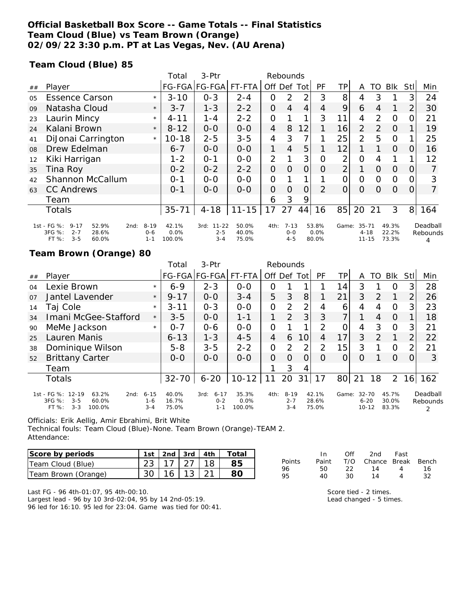### **Official Basketball Box Score -- Game Totals -- Final Statistics Team Cloud (Blue) vs Team Brown (Orange) 02/09/22 3:30 p.m. PT at Las Vegas, Nev. (AU Arena)**

### **Team Cloud (Blue) 85**

|    |                                                                                                     |                                | Total                   | 3-Ptr                                   | Rebounds                |      |                              |                |                        |                |                                    |               |                         |          |                           |
|----|-----------------------------------------------------------------------------------------------------|--------------------------------|-------------------------|-----------------------------------------|-------------------------|------|------------------------------|----------------|------------------------|----------------|------------------------------------|---------------|-------------------------|----------|---------------------------|
| ## | Player                                                                                              |                                |                         | FG-FGA FG-FGA                           | FT-FTA                  | Off  | Def                          | Totl           | PF                     | ΤP             | A                                  | TO            | Blk                     | Stll     | Min                       |
| 05 | <b>Essence Carson</b>                                                                               | $\star$                        | $3 - 10$                | $0 - 3$                                 | $2 - 4$                 | 0    | 2                            | 2              | 3                      | 8              | 4                                  | 3             |                         | 3        | 24                        |
| 09 | Natasha Cloud                                                                                       | $\star$                        | $3 - 7$                 | $1 - 3$                                 | $2 - 2$                 | 0    | $\overline{4}$               | $\overline{4}$ | 4                      | 9              | 6                                  | 4             |                         | 2        | 30                        |
| 23 | Laurin Mincy                                                                                        | $\star$                        | $4 - 11$                | 1-4                                     | $2 - 2$                 | 0    |                              | 1              | 3                      | 11             | $\overline{4}$                     | 2             | $\Omega$                | O        | 21                        |
| 24 | Kalani Brown                                                                                        | $\star$                        | $8 - 12$                | $O-O$                                   | $O-O$                   | 4    | 8                            | 12             |                        | 16             | 2                                  | $\mathcal{P}$ | $\Omega$                |          | 19                        |
| 41 | DiJonai Carrington                                                                                  | $\star$                        | $10 - 18$               | $2 - 5$                                 | $3 - 5$                 | 4    | 3                            | 7              |                        | 25             | 2                                  | 5             | $\Omega$                |          | 25                        |
| 08 | Drew Edelman                                                                                        |                                | $6 - 7$                 | $O-O$                                   | $O-O$                   | 1    | 4                            | 5              |                        | 12             |                                    |               | $\Omega$                | O        | 16                        |
| 12 | Kiki Harrigan                                                                                       |                                | $1 - 2$                 | $O - 1$                                 | $0 - 0$                 | 2    |                              | 3              | Ο                      | $\overline{2}$ | 0                                  | 4             |                         |          | 12                        |
| 35 | Tina Roy                                                                                            |                                | $0 - 2$                 | $0 - 2$                                 | $2 - 2$                 | 0    | $\Omega$                     | $\Omega$       | 0                      | $\overline{2}$ |                                    | $\Omega$      | $\overline{0}$          | 0        |                           |
| 42 | Shannon McCallum                                                                                    |                                | $O - 1$                 | $O-O$                                   | $0 - 0$                 | 0    |                              | 1              |                        | 0              | 0                                  | $\Omega$      | $\Omega$                |          | 3                         |
| 63 | <b>CC Andrews</b>                                                                                   |                                | $0 - 1$                 | $0 - 0$                                 | $0 - 0$                 | 0    | $\Omega$                     | $\Omega$       | $\mathcal{P}$          | $\Omega$       | 0                                  | $\Omega$      | $\Omega$                | $\Omega$ | $\overline{7}$            |
|    | Team                                                                                                |                                |                         |                                         |                         | 6    | 3                            | 9              |                        |                |                                    |               |                         |          |                           |
|    | <b>Totals</b>                                                                                       |                                | $35 - 71$               | $4 - 18$                                | $11 - 15$               | 17   | 27                           | 44             | 16                     | 85             | 20                                 | 21            | 3                       | 8        | 164                       |
|    | 1st - FG %:<br>$9 - 17$<br>52.9%<br>2nd:<br>3FG %:<br>$2 - 7$<br>28.6%<br>$3 - 5$<br>FT %:<br>60.0% | $8 - 19$<br>$0 - 6$<br>$1 - 1$ | 42.1%<br>0.0%<br>100.0% | $11 - 22$<br>3rd:<br>$2 - 5$<br>$3 - 4$ | 50.0%<br>40.0%<br>75.0% | 4th: | $7 - 13$<br>$O-O$<br>$4 - 5$ |                | 53.8%<br>0.0%<br>80.0% | Game:          | $35 - 71$<br>$4 - 18$<br>$11 - 15$ |               | 49.3%<br>22.2%<br>73.3% |          | Deadball<br>Rebounds<br>4 |

#### **Team Brown (Orange) 80**

|    |                                                                                                |                                | Total                   | 3-Ptr                                  | Rebounds                   |                |                                |                 |                         |       |                                    |               |                         |                |                           |
|----|------------------------------------------------------------------------------------------------|--------------------------------|-------------------------|----------------------------------------|----------------------------|----------------|--------------------------------|-----------------|-------------------------|-------|------------------------------------|---------------|-------------------------|----------------|---------------------------|
| ## | Player                                                                                         |                                |                         | FG-FGA FG-FGA                          | FT-FTA                     | Off Def        |                                | Totl            | PF                      | TР    | A                                  | TO            | <b>BIK</b>              | Stll           | Min                       |
| 04 | Lexie Brown                                                                                    | $\star$                        | $6 - 9$                 | $2 - 3$                                | $0 - 0$                    | O              |                                |                 |                         | 14    | 3                                  |               | O                       | 3              | 28                        |
| 07 | Jantel Lavender                                                                                | $\star$                        | $9 - 17$                | $0 - 0$                                | $3 - 4$                    | 5              | 3                              | 8               |                         | 21    | 3                                  | 2             | 1                       | 2              | 26                        |
| 14 | Taj Cole                                                                                       | $\star$                        | $3 - 11$                | $O - 3$                                | $0 - 0$                    | $\overline{O}$ | $\overline{2}$                 | 2               | 4                       | 6     | 4                                  | 4             | O                       | 3              | 23                        |
| 34 | Imani McGee-Stafford                                                                           | $\star$                        | $3 - 5$                 | $O-O$                                  | $1 - 1$                    |                | 2                              | 3               | 3                       | 7     |                                    | 4             | $\Omega$                |                | 18                        |
| 90 | MeMe Jackson                                                                                   | $\star$                        | $0 - 7$                 | $0 - 6$                                | $0 - 0$                    | 0              |                                | 1               | 2                       | 0     | 4                                  | 3             | $\circ$                 | 3              | 21                        |
| 25 | Lauren Manis                                                                                   |                                | $6 - 13$                | $1 - 3$                                | $4 - 5$                    | $\overline{4}$ | 6                              | 10 <sup>1</sup> | 4                       | 17    | 3                                  | $\mathcal{P}$ |                         | $\overline{2}$ | 22                        |
| 38 | Dominique Wilson                                                                               |                                | $5 - 8$                 | $3 - 5$                                | $2 - 2$                    | $\overline{O}$ | $\overline{2}$                 | 2               | $\overline{2}$          | 15    | 3                                  |               | $\circ$                 | 2              | 21                        |
| 52 | <b>Brittany Carter</b>                                                                         |                                | $O - O$                 | $0 - 0$                                | $0 - 0$                    | $\Omega$       | $\Omega$                       | 0               | $\Omega$                | O     | O                                  |               | $\Omega$                | Ω              | 3                         |
|    | Team                                                                                           |                                |                         |                                        |                            |                | 3                              | 4               |                         |       |                                    |               |                         |                |                           |
|    | <b>Totals</b>                                                                                  |                                | $32 - 70$               | $6 - 20$                               | $10 - 12$                  | 11             | 20                             | 31              | 17                      | 80l   | 21                                 | 18            | $\overline{2}$          |                | $16$   162                |
|    | 1st - FG %: 12-19<br>63.2%<br>2nd:<br>3FG %:<br>$3 - 5$<br>60.0%<br>$3 - 3$<br>FT %:<br>100.0% | $6 - 15$<br>$1 - 6$<br>$3 - 4$ | 40.0%<br>16.7%<br>75.0% | $6 - 17$<br>3rd:<br>$0 - 2$<br>$1 - 1$ | 35.3%<br>$0.0\%$<br>100.0% | 4th:           | $8 - 19$<br>$2 - 7$<br>$3 - 4$ |                 | 42.1%<br>28.6%<br>75.0% | Game: | $32 - 70$<br>$6 - 20$<br>$10 - 12$ |               | 45.7%<br>30.0%<br>83.3% |                | Deadball<br>Rebounds<br>2 |

Officials: Erik Aellig, Amir Ebrahimi, Brit White

Technical fouls: Team Cloud (Blue)-None. Team Brown (Orange)-TEAM 2. Attendance:

| Score by periods    |  |                | 1st   2nd   3rd   4th $\vert$ | Total |
|---------------------|--|----------------|-------------------------------|-------|
| Team Cloud (Blue)   |  | 17   27   18   |                               |       |
| Team Brown (Orange) |  | $16$   13   21 |                               |       |

|        | In.   | ∩ff | 2nd                    | Fast |    |
|--------|-------|-----|------------------------|------|----|
| Points | Paint |     | T/O Chance Break Bench |      |    |
| 96     | 50.   | フフ  | 14                     | Δ    | 16 |
| 95     | 40.   | 30. | 14                     | Δ    | 32 |

Last FG - 96 4th-01:07, 95 4th-00:10. Largest lead - 96 by 10 3rd-02:04, 95 by 14 2nd-05:19. 96 led for 16:10. 95 led for 23:04. Game was tied for 00:41. Score tied - 2 times. Lead changed - 5 times.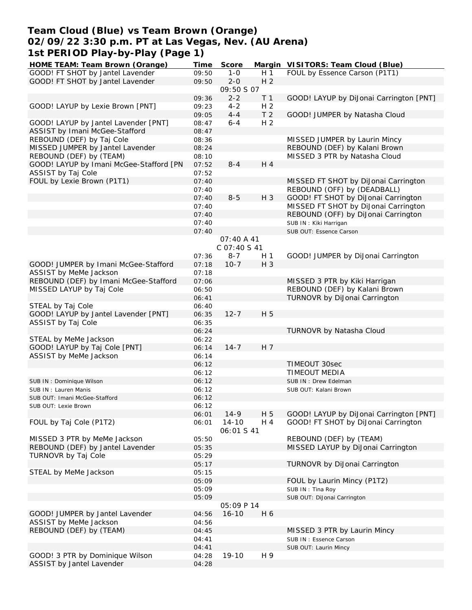# **Team Cloud (Blue) vs Team Brown (Orange) 02/09/22 3:30 p.m. PT at Las Vegas, Nev. (AU Arena) 1st PERIOD Play-by-Play (Page 1)**

| HOME TEAM: Team Brown (Orange)          | Time  | Score        |                | Margin VISITORS: Team Cloud (Blue)      |
|-----------------------------------------|-------|--------------|----------------|-----------------------------------------|
| GOOD! FT SHOT by Jantel Lavender        | 09:50 | $1 - 0$      | H 1            | FOUL by Essence Carson (P1T1)           |
| GOOD! FT SHOT by Jantel Lavender        | 09:50 | $2 - 0$      | H <sub>2</sub> |                                         |
|                                         |       | 09:50 S 07   |                |                                         |
|                                         | 09:36 | $2 - 2$      | T <sub>1</sub> | GOOD! LAYUP by DiJonai Carrington [PNT] |
| GOOD! LAYUP by Lexie Brown [PNT]        | 09:23 | $4 - 2$      | H <sub>2</sub> |                                         |
|                                         | 09:05 | $4 - 4$      | T <sub>2</sub> | GOOD! JUMPER by Natasha Cloud           |
| GOOD! LAYUP by Jantel Lavender [PNT]    | 08:47 | $6 - 4$      | H <sub>2</sub> |                                         |
|                                         |       |              |                |                                         |
| ASSIST by Imani McGee-Stafford          | 08:47 |              |                |                                         |
| REBOUND (DEF) by Taj Cole               | 08:36 |              |                | MISSED JUMPER by Laurin Mincy           |
| MISSED JUMPER by Jantel Lavender        | 08:24 |              |                | REBOUND (DEF) by Kalani Brown           |
| REBOUND (DEF) by (TEAM)                 | 08:10 |              |                | MISSED 3 PTR by Natasha Cloud           |
| GOOD! LAYUP by Imani McGee-Stafford [PN | 07:52 | $8 - 4$      | H 4            |                                         |
| ASSIST by Taj Cole                      | 07:52 |              |                |                                         |
| FOUL by Lexie Brown (P1T1)              | 07:40 |              |                | MISSED FT SHOT by DiJonai Carrington    |
|                                         | 07:40 |              |                | REBOUND (OFF) by (DEADBALL)             |
|                                         | 07:40 | $8 - 5$      | H 3            | GOOD! FT SHOT by DiJonai Carrington     |
|                                         | 07:40 |              |                | MISSED FT SHOT by DiJonai Carrington    |
|                                         | 07:40 |              |                | REBOUND (OFF) by DiJonai Carrington     |
|                                         |       |              |                |                                         |
|                                         | 07:40 |              |                | SUB IN: Kiki Harrigan                   |
|                                         | 07:40 |              |                | SUB OUT: Essence Carson                 |
|                                         |       | 07:40 A 41   |                |                                         |
|                                         |       | C 07:40 S 41 |                |                                         |
|                                         | 07:36 | $8 - 7$      | H 1            | GOOD! JUMPER by DiJonai Carrington      |
| GOOD! JUMPER by Imani McGee-Stafford    | 07:18 | $10-7$       | H 3            |                                         |
| ASSIST by MeMe Jackson                  | 07:18 |              |                |                                         |
| REBOUND (DEF) by Imani McGee-Stafford   | 07:06 |              |                | MISSED 3 PTR by Kiki Harrigan           |
| MISSED LAYUP by Taj Cole                | 06:50 |              |                | REBOUND (DEF) by Kalani Brown           |
|                                         | 06:41 |              |                | TURNOVR by DiJonai Carrington           |
| STEAL by Taj Cole                       | 06:40 |              |                |                                         |
|                                         |       |              |                |                                         |
| GOOD! LAYUP by Jantel Lavender [PNT]    | 06:35 | $12 - 7$     | H 5            |                                         |
| ASSIST by Taj Cole                      | 06:35 |              |                |                                         |
|                                         | 06:24 |              |                | TURNOVR by Natasha Cloud                |
| STEAL by MeMe Jackson                   | 06:22 |              |                |                                         |
| GOOD! LAYUP by Taj Cole [PNT]           | 06:14 | $14 - 7$     | H 7            |                                         |
| ASSIST by MeMe Jackson                  | 06:14 |              |                |                                         |
|                                         | 06:12 |              |                | TIMEOUT 30sec                           |
|                                         | 06:12 |              |                | TIMEOUT MEDIA                           |
| SUB IN: Dominique Wilson                | 06:12 |              |                | SUB IN: Drew Edelman                    |
| SUB IN: Lauren Manis                    | 06:12 |              |                | SUB OUT: Kalani Brown                   |
|                                         | 06:12 |              |                |                                         |
| SUB OUT: Imani McGee-Stafford           |       |              |                |                                         |
| SUB OUT: Lexie Brown                    | 06:12 |              |                |                                         |
|                                         | 06:01 | $14-9$       | H 5            | GOOD! LAYUP by DiJonai Carrington [PNT] |
| FOUL by Taj Cole (P1T2)                 | 06:01 | $14 - 10$    | H 4            | GOOD! FT SHOT by DiJonai Carrington     |
|                                         |       | 06:01 S 41   |                |                                         |
| MISSED 3 PTR by MeMe Jackson            | 05:50 |              |                | REBOUND (DEF) by (TEAM)                 |
| REBOUND (DEF) by Jantel Lavender        | 05:35 |              |                | MISSED LAYUP by DiJonai Carrington      |
| TURNOVR by Taj Cole                     | 05:29 |              |                |                                         |
|                                         | 05:17 |              |                | TURNOVR by DiJonai Carrington           |
| STEAL by MeMe Jackson                   | 05:15 |              |                |                                         |
|                                         | 05:09 |              |                | FOUL by Laurin Mincy (P1T2)             |
|                                         |       |              |                |                                         |
|                                         | 05:09 |              |                | SUB IN: Tina Roy                        |
|                                         | 05:09 |              |                | SUB OUT: DiJonai Carrington             |
|                                         |       | 05:09 P 14   |                |                                         |
| GOOD! JUMPER by Jantel Lavender         | 04:56 | $16 - 10$    | H 6            |                                         |
| ASSIST by MeMe Jackson                  | 04:56 |              |                |                                         |
| REBOUND (DEF) by (TEAM)                 | 04:45 |              |                | MISSED 3 PTR by Laurin Mincy            |
|                                         | 04:41 |              |                | SUB IN: Essence Carson                  |
|                                         | 04:41 |              |                | SUB OUT: Laurin Mincy                   |
| GOOD! 3 PTR by Dominique Wilson         | 04:28 | 19-10        | H 9            |                                         |
| ASSIST by Jantel Lavender               | 04:28 |              |                |                                         |
|                                         |       |              |                |                                         |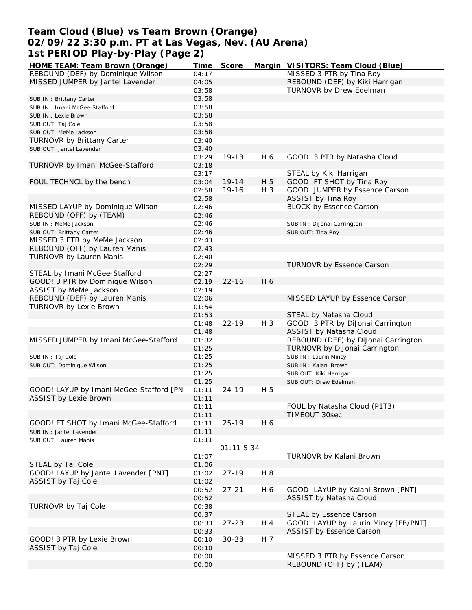# **Team Cloud (Blue) vs Team Brown (Orange) 02/09/22 3:30 p.m. PT at Las Vegas, Nev. (AU Arena) 1st PERIOD Play-by-Play (Page 2)**

| HOME TEAM: Team Brown (Orange)          | Time  | Score      |       | Margin VISITORS: Team Cloud (Blue)   |
|-----------------------------------------|-------|------------|-------|--------------------------------------|
| REBOUND (DEF) by Dominique Wilson       | 04:17 |            |       | MISSED 3 PTR by Tina Roy             |
| MISSED JUMPER by Jantel Lavender        | 04:05 |            |       | REBOUND (DEF) by Kiki Harrigan       |
|                                         | 03:58 |            |       | TURNOVR by Drew Edelman              |
| SUB IN: Brittany Carter                 | 03:58 |            |       |                                      |
| SUB IN: Imani McGee-Stafford            | 03:58 |            |       |                                      |
| SUB IN : Lexie Brown                    | 03:58 |            |       |                                      |
| SUB OUT: Taj Cole                       | 03:58 |            |       |                                      |
|                                         | 03:58 |            |       |                                      |
| SUB OUT: MeMe Jackson                   |       |            |       |                                      |
| TURNOVR by Brittany Carter              | 03:40 |            |       |                                      |
| SUB OUT: Jantel Lavender                | 03:40 |            |       |                                      |
|                                         | 03:29 | 19-13      | H 6   | GOOD! 3 PTR by Natasha Cloud         |
| TURNOVR by Imani McGee-Stafford         | 03:18 |            |       |                                      |
|                                         | 03:17 |            |       | STEAL by Kiki Harrigan               |
| FOUL TECHNCL by the bench               | 03:04 | $19 - 14$  | H 5   | GOOD! FT SHOT by Tina Roy            |
|                                         | 02:58 | 19-16      | $H_3$ | GOOD! JUMPER by Essence Carson       |
|                                         | 02:58 |            |       | <b>ASSIST by Tina Roy</b>            |
| MISSED LAYUP by Dominique Wilson        | 02:46 |            |       | <b>BLOCK by Essence Carson</b>       |
| REBOUND (OFF) by (TEAM)                 | 02:46 |            |       |                                      |
| SUB IN : MeMe Jackson                   | 02:46 |            |       | SUB IN: DiJonai Carrington           |
| SUB OUT: Brittany Carter                | 02:46 |            |       | SUB OUT: Tina Roy                    |
| MISSED 3 PTR by MeMe Jackson            | 02:43 |            |       |                                      |
|                                         |       |            |       |                                      |
| REBOUND (OFF) by Lauren Manis           | 02:43 |            |       |                                      |
| <b>TURNOVR by Lauren Manis</b>          | 02:40 |            |       |                                      |
|                                         | 02:29 |            |       | <b>TURNOVR by Essence Carson</b>     |
| STEAL by Imani McGee-Stafford           | 02:27 |            |       |                                      |
| GOOD! 3 PTR by Dominique Wilson         | 02:19 | $22 - 16$  | H 6   |                                      |
| ASSIST by MeMe Jackson                  | 02:19 |            |       |                                      |
| REBOUND (DEF) by Lauren Manis           | 02:06 |            |       | MISSED LAYUP by Essence Carson       |
| TURNOVR by Lexie Brown                  | 01:54 |            |       |                                      |
|                                         | 01:53 |            |       | STEAL by Natasha Cloud               |
|                                         | 01:48 | $22 - 19$  | H 3   | GOOD! 3 PTR by DiJonai Carrington    |
|                                         | 01:48 |            |       | ASSIST by Natasha Cloud              |
| MISSED JUMPER by Imani McGee-Stafford   | 01:32 |            |       | REBOUND (DEF) by DiJonai Carrington  |
|                                         | 01:25 |            |       | TURNOVR by DiJonai Carrington        |
| SUB IN: Taj Cole                        | 01:25 |            |       | SUB IN: Laurin Mincy                 |
| SUB OUT: Dominique Wilson               | 01:25 |            |       | SUB IN: Kalani Brown                 |
|                                         | 01:25 |            |       |                                      |
|                                         |       |            |       | SUB OUT: Kiki Harrigan               |
|                                         | 01:25 |            |       | SUB OUT: Drew Edelman                |
| GOOD! LAYUP by Imani McGee-Stafford [PN | 01:11 | $24 - 19$  | H 5   |                                      |
| <b>ASSIST by Lexie Brown</b>            | 01:11 |            |       |                                      |
|                                         | 01:11 |            |       | FOUL by Natasha Cloud (P1T3)         |
|                                         | 01:11 |            |       | TIMEOUT 30sec                        |
| GOOD! FT SHOT by Imani McGee-Stafford   | 01:11 | $25 - 19$  | H 6   |                                      |
| SUB IN: Jantel Lavender                 | 01:11 |            |       |                                      |
| SUB OUT: Lauren Manis                   | 01:11 |            |       |                                      |
|                                         |       | O1:11 S 34 |       |                                      |
|                                         | 01:07 |            |       | TURNOVR by Kalani Brown              |
| STEAL by Taj Cole                       | 01:06 |            |       |                                      |
| GOOD! LAYUP by Jantel Lavender [PNT]    | 01:02 | $27 - 19$  | H 8   |                                      |
| ASSIST by Taj Cole                      | 01:02 |            |       |                                      |
|                                         | 00:52 | $27 - 21$  | H 6   | GOOD! LAYUP by Kalani Brown [PNT]    |
|                                         | 00:52 |            |       | ASSIST by Natasha Cloud              |
|                                         |       |            |       |                                      |
| TURNOVR by Taj Cole                     | 00:38 |            |       |                                      |
|                                         | 00:37 |            |       | STEAL by Essence Carson              |
|                                         | 00:33 | $27 - 23$  | H 4   | GOOD! LAYUP by Laurin Mincy [FB/PNT] |
|                                         | 00:33 |            |       | ASSIST by Essence Carson             |
| GOOD! 3 PTR by Lexie Brown              | 00:10 | $30 - 23$  | H 7   |                                      |
| ASSIST by Taj Cole                      | 00:10 |            |       |                                      |
|                                         | 00:00 |            |       | MISSED 3 PTR by Essence Carson       |
|                                         | 00:00 |            |       | REBOUND (OFF) by (TEAM)              |
|                                         |       |            |       |                                      |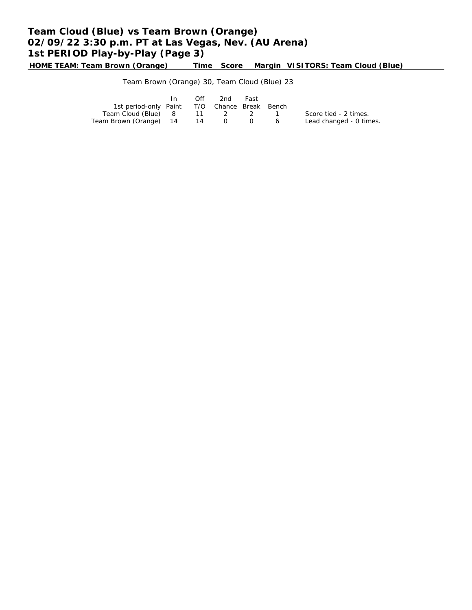# **Team Cloud (Blue) vs Team Brown (Orange) 02/09/22 3:30 p.m. PT at Las Vegas, Nev. (AU Arena) 1st PERIOD Play-by-Play (Page 3)**

**HOME TEAM: Team Brown (Orange) Time Score Margin VISITORS: Team Cloud (Blue)**

### Team Brown (Orange) 30, Team Cloud (Blue) 23

|                                              | In 1 | Off | 2nd                 | Fast |                         |
|----------------------------------------------|------|-----|---------------------|------|-------------------------|
| 1st period-only Paint T/O Chance Break Bench |      |     |                     |      |                         |
| Team Cloud (Blue) 8 11 2 2 1                 |      |     |                     |      | Score tied - 2 times.   |
| Team Brown (Orange) 14                       |      | 14  | $0\qquad 0\qquad 6$ |      | Lead changed - 0 times. |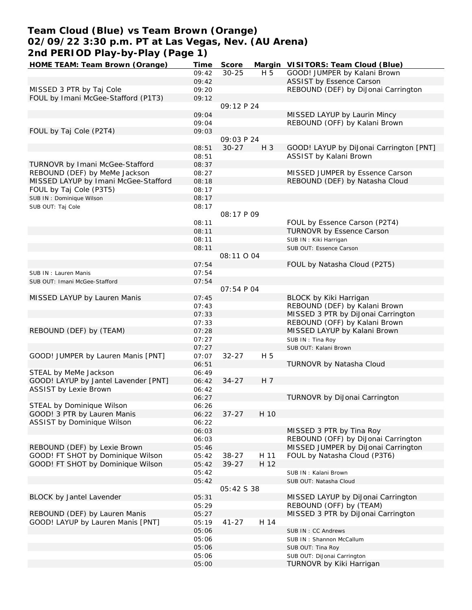# **Team Cloud (Blue) vs Team Brown (Orange) 02/09/22 3:30 p.m. PT at Las Vegas, Nev. (AU Arena) 2nd PERIOD Play-by-Play (Page 1)**

| HOME TEAM: Team Brown (Orange)       | Time  | Score      |      | Margin VISITORS: Team Cloud (Blue)      |
|--------------------------------------|-------|------------|------|-----------------------------------------|
|                                      | 09:42 | $30 - 25$  | H 5  | GOOD! JUMPER by Kalani Brown            |
|                                      | 09:42 |            |      | ASSIST by Essence Carson                |
| MISSED 3 PTR by Taj Cole             | 09:20 |            |      | REBOUND (DEF) by DiJonai Carrington     |
| FOUL by Imani McGee-Stafford (P1T3)  | 09:12 |            |      |                                         |
|                                      |       | 09:12P24   |      |                                         |
|                                      | 09:04 |            |      | MISSED LAYUP by Laurin Mincy            |
|                                      | 09:04 |            |      | REBOUND (OFF) by Kalani Brown           |
| FOUL by Taj Cole (P2T4)              | 09:03 |            |      |                                         |
|                                      |       | 09:03 P 24 |      |                                         |
|                                      | 08:51 | $30 - 27$  | H 3  | GOOD! LAYUP by DiJonai Carrington [PNT] |
|                                      | 08:51 |            |      | ASSIST by Kalani Brown                  |
| TURNOVR by Imani McGee-Stafford      | 08:37 |            |      |                                         |
| REBOUND (DEF) by MeMe Jackson        | 08:27 |            |      | MISSED JUMPER by Essence Carson         |
| MISSED LAYUP by Imani McGee-Stafford | 08:18 |            |      | REBOUND (DEF) by Natasha Cloud          |
| FOUL by Taj Cole (P3T5)              | 08:17 |            |      |                                         |
| SUB IN: Dominique Wilson             | 08:17 |            |      |                                         |
| SUB OUT: Taj Cole                    | 08:17 |            |      |                                         |
|                                      |       | 08:17 P 09 |      |                                         |
|                                      | 08:11 |            |      | FOUL by Essence Carson (P2T4)           |
|                                      | 08:11 |            |      | TURNOVR by Essence Carson               |
|                                      | 08:11 |            |      | SUB IN: Kiki Harrigan                   |
|                                      | 08:11 |            |      | SUB OUT: Essence Carson                 |
|                                      |       | 08:11 0 04 |      |                                         |
|                                      | 07:54 |            |      | FOUL by Natasha Cloud (P2T5)            |
| SUB IN: Lauren Manis                 | 07:54 |            |      |                                         |
| SUB OUT: Imani McGee-Stafford        | 07:54 |            |      |                                         |
|                                      |       | 07:54 P 04 |      |                                         |
| MISSED LAYUP by Lauren Manis         | 07:45 |            |      | BLOCK by Kiki Harrigan                  |
|                                      | 07:43 |            |      | REBOUND (DEF) by Kalani Brown           |
|                                      | 07:33 |            |      | MISSED 3 PTR by DiJonai Carrington      |
|                                      | 07:33 |            |      | REBOUND (OFF) by Kalani Brown           |
| REBOUND (DEF) by (TEAM)              | 07:28 |            |      | MISSED LAYUP by Kalani Brown            |
|                                      | 07:27 |            |      | SUB IN: Tina Roy                        |
|                                      | 07:27 |            |      | SUB OUT: Kalani Brown                   |
| GOOD! JUMPER by Lauren Manis [PNT]   | 07:07 | $32 - 27$  | H 5  |                                         |
|                                      | 06:51 |            |      | TURNOVR by Natasha Cloud                |
| STEAL by MeMe Jackson                | 06:49 |            |      |                                         |
| GOOD! LAYUP by Jantel Lavender [PNT] | 06:42 | $34 - 27$  | H 7  |                                         |
| <b>ASSIST by Lexie Brown</b>         | 06:42 |            |      |                                         |
|                                      | 06:27 |            |      | TURNOVR by DiJonai Carrington           |
| STEAL by Dominique Wilson            | 06:26 |            |      |                                         |
| GOOD! 3 PTR by Lauren Manis          | 06:22 | $37 - 27$  | H 10 |                                         |
| ASSIST by Dominique Wilson           | 06:22 |            |      |                                         |
|                                      | 06:03 |            |      | MISSED 3 PTR by Tina Roy                |
|                                      | 06:03 |            |      | REBOUND (OFF) by DiJonai Carrington     |
| REBOUND (DEF) by Lexie Brown         | 05:46 |            |      | MISSED JUMPER by DiJonai Carrington     |
| GOOD! FT SHOT by Dominique Wilson    | 05:42 | $38 - 27$  | H 11 | FOUL by Natasha Cloud (P3T6)            |
| GOOD! FT SHOT by Dominique Wilson    | 05:42 | $39 - 27$  | H 12 |                                         |
|                                      | 05:42 |            |      | SUB IN: Kalani Brown                    |
|                                      | 05:42 |            |      | SUB OUT: Natasha Cloud                  |
|                                      |       | 05:42 S 38 |      |                                         |
| BLOCK by Jantel Lavender             | 05:31 |            |      | MISSED LAYUP by DiJonai Carrington      |
|                                      | 05:29 |            |      | REBOUND (OFF) by (TEAM)                 |
| REBOUND (DEF) by Lauren Manis        | 05:27 |            |      | MISSED 3 PTR by DiJonai Carrington      |
| GOOD! LAYUP by Lauren Manis [PNT]    | 05:19 | $41 - 27$  | H 14 |                                         |
|                                      | 05:06 |            |      | SUB IN: CC Andrews                      |
|                                      | 05:06 |            |      | SUB IN: Shannon McCallum                |
|                                      | 05:06 |            |      | SUB OUT: Tina Roy                       |
|                                      | 05:06 |            |      | SUB OUT: DiJonai Carrington             |
|                                      | 05:00 |            |      | TURNOVR by Kiki Harrigan                |
|                                      |       |            |      |                                         |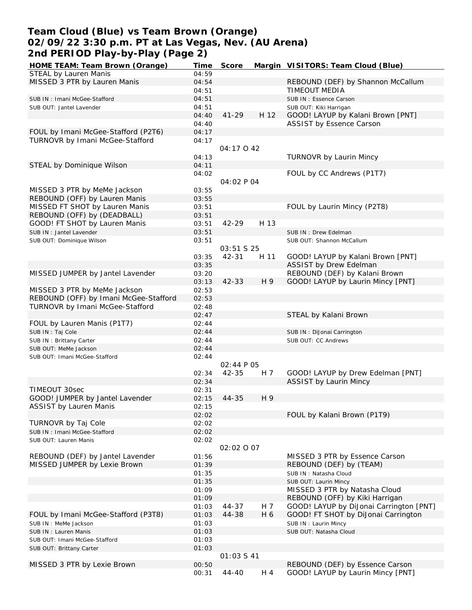# **Team Cloud (Blue) vs Team Brown (Orange) 02/09/22 3:30 p.m. PT at Las Vegas, Nev. (AU Arena) 2nd PERIOD Play-by-Play (Page 2)**

| HOME TEAM: Team Brown (Orange)        | Time  | Score      |      | Margin VISITORS: Team Cloud (Blue)      |
|---------------------------------------|-------|------------|------|-----------------------------------------|
| STEAL by Lauren Manis                 | 04:59 |            |      |                                         |
| MISSED 3 PTR by Lauren Manis          | 04:54 |            |      | REBOUND (DEF) by Shannon McCallum       |
|                                       | 04:51 |            |      | TIMEOUT MEDIA                           |
|                                       |       |            |      |                                         |
| SUB IN: Imani McGee-Stafford          | 04:51 |            |      | SUB IN: Essence Carson                  |
| SUB OUT: Jantel Lavender              | 04:51 |            |      | SUB OUT: Kiki Harrigan                  |
|                                       | 04:40 | $41 - 29$  | H 12 | GOOD! LAYUP by Kalani Brown [PNT]       |
|                                       | 04:40 |            |      | ASSIST by Essence Carson                |
| FOUL by Imani McGee-Stafford (P2T6)   | 04:17 |            |      |                                         |
| TURNOVR by Imani McGee-Stafford       | 04:17 |            |      |                                         |
|                                       |       | 04:17042   |      |                                         |
|                                       |       |            |      |                                         |
|                                       | 04:13 |            |      | <b>TURNOVR by Laurin Mincy</b>          |
| STEAL by Dominique Wilson             | 04:11 |            |      |                                         |
|                                       | 04:02 |            |      | FOUL by CC Andrews (P1T7)               |
|                                       |       | 04:02 P 04 |      |                                         |
| MISSED 3 PTR by MeMe Jackson          | 03:55 |            |      |                                         |
| REBOUND (OFF) by Lauren Manis         | 03:55 |            |      |                                         |
|                                       |       |            |      |                                         |
| MISSED FT SHOT by Lauren Manis        | 03:51 |            |      | FOUL by Laurin Mincy (P2T8)             |
| REBOUND (OFF) by (DEADBALL)           | 03:51 |            |      |                                         |
| GOOD! FT SHOT by Lauren Manis         | 03:51 | 42-29      | H 13 |                                         |
| SUB IN : Jantel Lavender              | 03:51 |            |      | SUB IN: Drew Edelman                    |
| SUB OUT: Dominique Wilson             | 03:51 |            |      | SUB OUT: Shannon McCallum               |
|                                       |       | 03:51 S 25 |      |                                         |
|                                       |       |            |      |                                         |
|                                       | 03:35 | 42-31      | H 11 | GOOD! LAYUP by Kalani Brown [PNT]       |
|                                       | 03:35 |            |      | ASSIST by Drew Edelman                  |
| MISSED JUMPER by Jantel Lavender      | 03:20 |            |      | REBOUND (DEF) by Kalani Brown           |
|                                       | 03:13 | $42 - 33$  | H 9  | GOOD! LAYUP by Laurin Mincy [PNT]       |
| MISSED 3 PTR by MeMe Jackson          | 02:53 |            |      |                                         |
| REBOUND (OFF) by Imani McGee-Stafford | 02:53 |            |      |                                         |
| TURNOVR by Imani McGee-Stafford       | 02:48 |            |      |                                         |
|                                       |       |            |      |                                         |
|                                       | 02:47 |            |      | STEAL by Kalani Brown                   |
| FOUL by Lauren Manis (P1T7)           | 02:44 |            |      |                                         |
| SUB IN: Taj Cole                      | 02:44 |            |      | SUB IN: DiJonai Carrington              |
| SUB IN: Brittany Carter               | 02:44 |            |      | SUB OUT: CC Andrews                     |
| SUB OUT: MeMe Jackson                 | 02:44 |            |      |                                         |
| SUB OUT: Imani McGee-Stafford         | 02:44 |            |      |                                         |
|                                       |       | 02:44 P 05 |      |                                         |
|                                       |       |            |      |                                         |
|                                       | 02:34 | $42 - 35$  | H 7  | GOOD! LAYUP by Drew Edelman [PNT]       |
|                                       | 02:34 |            |      | <b>ASSIST by Laurin Mincy</b>           |
| TIMEOUT 30sec                         | 02:31 |            |      |                                         |
| GOOD! JUMPER by Jantel Lavender       | 02:15 | 44-35      | H 9  |                                         |
| ASSIST by Lauren Manis                | 02:15 |            |      |                                         |
|                                       |       |            |      |                                         |
|                                       | 02:02 |            |      | FOUL by Kalani Brown (P1T9)             |
| TURNOVR by Taj Cole                   | 02:02 |            |      |                                         |
| SUB IN: Imani McGee-Stafford          | 02:02 |            |      |                                         |
| SUB OUT: Lauren Manis                 | 02:02 |            |      |                                         |
|                                       |       | 02:02 0 07 |      |                                         |
| REBOUND (DEF) by Jantel Lavender      | 01:56 |            |      | MISSED 3 PTR by Essence Carson          |
| MISSED JUMPER by Lexie Brown          | 01:39 |            |      | REBOUND (DEF) by (TEAM)                 |
|                                       |       |            |      |                                         |
|                                       | 01:35 |            |      | SUB IN: Natasha Cloud                   |
|                                       | 01:35 |            |      | SUB OUT: Laurin Mincy                   |
|                                       | 01:09 |            |      | MISSED 3 PTR by Natasha Cloud           |
|                                       | 01:09 |            |      | REBOUND (OFF) by Kiki Harrigan          |
|                                       | 01:03 | 44-37      | H 7  | GOOD! LAYUP by DiJonai Carrington [PNT] |
| FOUL by Imani McGee-Stafford (P3T8)   | 01:03 | 44-38      | H 6  | GOOD! FT SHOT by DiJonai Carrington     |
|                                       |       |            |      |                                         |
| SUB IN : MeMe Jackson                 | 01:03 |            |      | SUB IN: Laurin Mincy                    |
| SUB IN: Lauren Manis                  | 01:03 |            |      | SUB OUT: Natasha Cloud                  |
| SUB OUT: Imani McGee-Stafford         | 01:03 |            |      |                                         |
| SUB OUT: Brittany Carter              | 01:03 |            |      |                                         |
|                                       |       | O1:03 S 41 |      |                                         |
| MISSED 3 PTR by Lexie Brown           | 00:50 |            |      | REBOUND (DEF) by Essence Carson         |
|                                       |       |            | H 4  | GOOD! LAYUP by Laurin Mincy [PNT]       |
|                                       | 00:31 | 44-40      |      |                                         |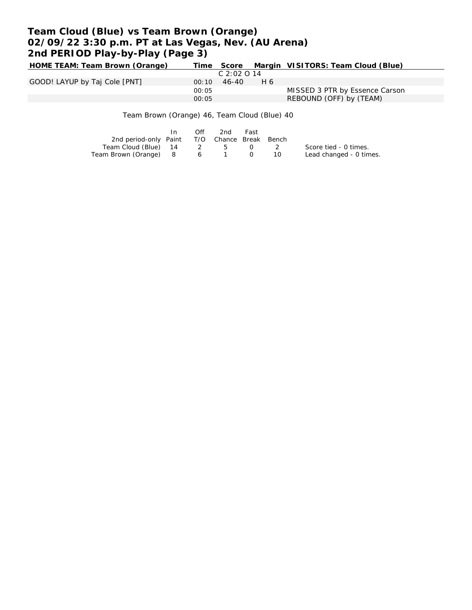# **Team Cloud (Blue) vs Team Brown (Orange) 02/09/22 3:30 p.m. PT at Las Vegas, Nev. (AU Arena) 2nd PERIOD Play-by-Play (Page 3)**

| HOME TEAM: Team Brown (Orange) |       |             |     | Time Score Margin VISITORS: Team Cloud (Blue) |
|--------------------------------|-------|-------------|-----|-----------------------------------------------|
|                                |       | C 2:02 O 14 |     |                                               |
| GOOD! LAYUP by Taj Cole [PNT]  | 00:10 | $46 - 40$   | H 6 |                                               |
|                                | 00:05 |             |     | MISSED 3 PTR by Essence Carson                |
|                                | 00:05 |             |     | REBOUND (OFF) by (TEAM)                       |
|                                |       |             |     |                                               |

Team Brown (Orange) 46, Team Cloud (Blue) 40

|                                              | $\mathsf{In}$ | Off | 2nd | Fast |     |                         |
|----------------------------------------------|---------------|-----|-----|------|-----|-------------------------|
| 2nd period-only Paint T/O Chance Break Bench |               |     |     |      |     |                         |
| Team Cloud (Blue) 14 2 5 0 2                 |               |     |     |      |     | Score tied - 0 times.   |
| Team Brown (Orange) 8 6 1 0                  |               |     |     |      | 10. | Lead changed - 0 times. |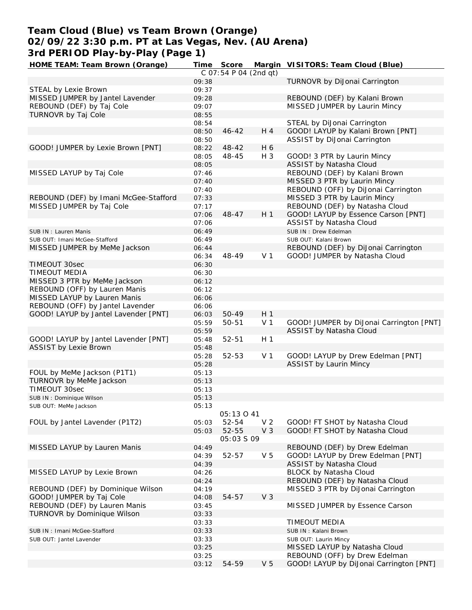# **Team Cloud (Blue) vs Team Brown (Orange) 02/09/22 3:30 p.m. PT at Las Vegas, Nev. (AU Arena) 3rd PERIOD Play-by-Play (Page 1)**

| HOME TEAM: Team Brown (Orange)        |                | Time Score            |                | Margin VISITORS: Team Cloud (Blue)                     |
|---------------------------------------|----------------|-----------------------|----------------|--------------------------------------------------------|
|                                       |                | C 07:54 P 04 (2nd gt) |                |                                                        |
|                                       | 09:38          |                       |                | TURNOVR by DiJonai Carrington                          |
| STEAL by Lexie Brown                  | 09:37          |                       |                |                                                        |
| MISSED JUMPER by Jantel Lavender      | 09:28          |                       |                | REBOUND (DEF) by Kalani Brown                          |
| REBOUND (DEF) by Taj Cole             | 09:07          |                       |                | MISSED JUMPER by Laurin Mincy                          |
| TURNOVR by Taj Cole                   | 08:55          |                       |                |                                                        |
|                                       | 08:54          |                       |                | STEAL by DiJonai Carrington                            |
|                                       | 08:50          | $46 - 42$             | H 4            | GOOD! LAYUP by Kalani Brown [PNT]                      |
|                                       | 08:50          |                       |                | ASSIST by DiJonai Carrington                           |
| GOOD! JUMPER by Lexie Brown [PNT]     | 08:22          | 48-42                 | H 6            |                                                        |
|                                       | 08:05<br>08:05 | 48-45                 | $H_3$          | GOOD! 3 PTR by Laurin Mincy<br>ASSIST by Natasha Cloud |
| MISSED LAYUP by Taj Cole              | 07:46          |                       |                | REBOUND (DEF) by Kalani Brown                          |
|                                       | 07:40          |                       |                | MISSED 3 PTR by Laurin Mincy                           |
|                                       | 07:40          |                       |                | REBOUND (OFF) by DiJonai Carrington                    |
| REBOUND (DEF) by Imani McGee-Stafford | 07:33          |                       |                | MISSED 3 PTR by Laurin Mincy                           |
| MISSED JUMPER by Taj Cole             | 07:17          |                       |                | REBOUND (DEF) by Natasha Cloud                         |
|                                       | 07:06          | $48 - 47$             | H <sub>1</sub> | GOOD! LAYUP by Essence Carson [PNT]                    |
|                                       | 07:06          |                       |                | ASSIST by Natasha Cloud                                |
| SUB IN: Lauren Manis                  | 06:49          |                       |                | SUB IN: Drew Edelman                                   |
| SUB OUT: Imani McGee-Stafford         | 06:49          |                       |                | SUB OUT: Kalani Brown                                  |
| MISSED JUMPER by MeMe Jackson         | 06:44          |                       |                | REBOUND (DEF) by DiJonai Carrington                    |
|                                       | 06:34          | 48-49                 | V <sub>1</sub> | GOOD! JUMPER by Natasha Cloud                          |
| TIMEOUT 30sec                         | 06:30          |                       |                |                                                        |
| <b>TIMEOUT MEDIA</b>                  | 06:30          |                       |                |                                                        |
| MISSED 3 PTR by MeMe Jackson          | 06:12          |                       |                |                                                        |
| REBOUND (OFF) by Lauren Manis         | 06:12          |                       |                |                                                        |
| MISSED LAYUP by Lauren Manis          | 06:06          |                       |                |                                                        |
| REBOUND (OFF) by Jantel Lavender      | 06:06          |                       |                |                                                        |
| GOOD! LAYUP by Jantel Lavender [PNT]  | 06:03          | 50-49                 | H <sub>1</sub> |                                                        |
|                                       | 05:59          | 50-51                 | V <sub>1</sub> | GOOD! JUMPER by DiJonai Carrington [PNT]               |
|                                       | 05:59          |                       |                | ASSIST by Natasha Cloud                                |
| GOOD! LAYUP by Jantel Lavender [PNT]  | 05:48          | 52-51                 | H <sub>1</sub> |                                                        |
| <b>ASSIST by Lexie Brown</b>          | 05:48          |                       |                |                                                        |
|                                       | 05:28          | 52-53                 | V <sub>1</sub> | GOOD! LAYUP by Drew Edelman [PNT]                      |
|                                       | 05:28          |                       |                | <b>ASSIST by Laurin Mincy</b>                          |
| FOUL by MeMe Jackson (P1T1)           | 05:13          |                       |                |                                                        |
| TURNOVR by MeMe Jackson               | 05:13          |                       |                |                                                        |
| <b>TIMEOUT 30sec</b>                  | 05:13          |                       |                |                                                        |
| SUB IN: Dominique Wilson              | 05:13          |                       |                |                                                        |
| SUB OUT: MeMe Jackson                 | 05:13          |                       |                |                                                        |
|                                       |                | 05:13041              |                |                                                        |
| FOUL by Jantel Lavender (P1T2)        | 05:03          | 52-54                 | V <sub>2</sub> | GOOD! FT SHOT by Natasha Cloud                         |
|                                       | 05:03          | 52-55                 | V <sub>3</sub> | GOOD! FT SHOT by Natasha Cloud                         |
|                                       |                | <i>05:03 S 09</i>     |                |                                                        |
| MISSED LAYUP by Lauren Manis          | 04:49          |                       |                | REBOUND (DEF) by Drew Edelman                          |
|                                       | 04:39          | 52-57                 | V <sub>5</sub> | GOOD! LAYUP by Drew Edelman [PNT]                      |
|                                       | 04:39          |                       |                | ASSIST by Natasha Cloud                                |
| MISSED LAYUP by Lexie Brown           | 04:26          |                       |                | BLOCK by Natasha Cloud                                 |
|                                       | 04:24          |                       |                | REBOUND (DEF) by Natasha Cloud                         |
| REBOUND (DEF) by Dominique Wilson     | 04:19          |                       |                | MISSED 3 PTR by DiJonai Carrington                     |
| GOOD! JUMPER by Taj Cole              | 04:08          | 54-57                 | V <sub>3</sub> |                                                        |
| REBOUND (DEF) by Lauren Manis         | 03:45          |                       |                | MISSED JUMPER by Essence Carson                        |
| TURNOVR by Dominique Wilson           | 03:33          |                       |                |                                                        |
|                                       | 03:33          |                       |                | TIMEOUT MEDIA                                          |
| SUB IN: Imani McGee-Stafford          | 03:33          |                       |                | SUB IN: Kalani Brown                                   |
| SUB OUT: Jantel Lavender              | 03:33          |                       |                | SUB OUT: Laurin Mincy                                  |
|                                       | 03:25          |                       |                | MISSED LAYUP by Natasha Cloud                          |
|                                       | 03:25          |                       |                | REBOUND (OFF) by Drew Edelman                          |
|                                       | 03:12          | 54-59                 | V <sub>5</sub> | GOOD! LAYUP by DiJonai Carrington [PNT]                |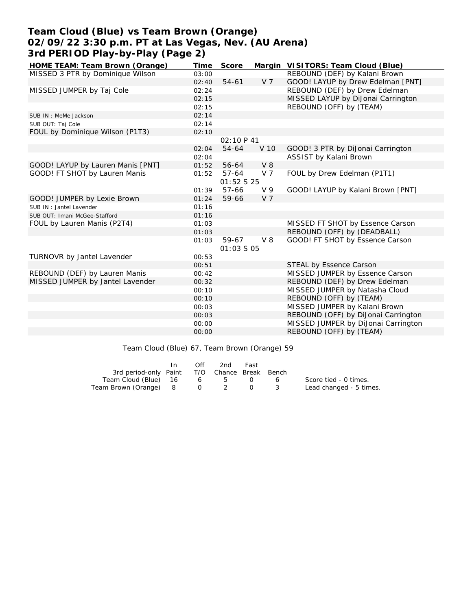# **Team Cloud (Blue) vs Team Brown (Orange) 02/09/22 3:30 p.m. PT at Las Vegas, Nev. (AU Arena) 3rd PERIOD Play-by-Play (Page 2)**

| HOME TEAM: Team Brown (Orange)    | Time  | Score      |                | Margin VISITORS: Team Cloud (Blue)  |
|-----------------------------------|-------|------------|----------------|-------------------------------------|
| MISSED 3 PTR by Dominique Wilson  | 03:00 |            |                | REBOUND (DEF) by Kalani Brown       |
|                                   | 02:40 | $54 - 61$  | V <sub>7</sub> | GOOD! LAYUP by Drew Edelman [PNT]   |
| MISSED JUMPER by Taj Cole         | 02:24 |            |                | REBOUND (DEF) by Drew Edelman       |
|                                   | 02:15 |            |                | MISSED LAYUP by DiJonai Carrington  |
|                                   | 02:15 |            |                | REBOUND (OFF) by (TEAM)             |
| SUB IN: MeMe Jackson              | 02:14 |            |                |                                     |
| SUB OUT: Taj Cole                 | 02:14 |            |                |                                     |
| FOUL by Dominique Wilson (P1T3)   | 02:10 |            |                |                                     |
|                                   |       | 02:10 P 41 |                |                                     |
|                                   | 02:04 | 54-64      | V 10           | GOOD! 3 PTR by DiJonai Carrington   |
|                                   | 02:04 |            |                | ASSIST by Kalani Brown              |
| GOOD! LAYUP by Lauren Manis [PNT] | 01:52 | 56-64      | $V_8$          |                                     |
| GOOD! FT SHOT by Lauren Manis     | 01:52 | $57-64$    | V 7            | FOUL by Drew Edelman (P1T1)         |
|                                   |       | 01:52 S 25 |                |                                     |
|                                   | 01:39 | 57-66      | V <sub>9</sub> | GOOD! LAYUP by Kalani Brown [PNT]   |
| GOOD! JUMPER by Lexie Brown       | 01:24 | 59-66      | V <sub>7</sub> |                                     |
| SUB IN: Jantel Lavender           | 01:16 |            |                |                                     |
| SUB OUT: Imani McGee-Stafford     | 01:16 |            |                |                                     |
| FOUL by Lauren Manis (P2T4)       | 01:03 |            |                | MISSED FT SHOT by Essence Carson    |
|                                   | 01:03 |            |                | REBOUND (OFF) by (DEADBALL)         |
|                                   | 01:03 | 59-67      | $V_8$          | GOOD! FT SHOT by Essence Carson     |
|                                   |       | 01:03 S 05 |                |                                     |
| TURNOVR by Jantel Lavender        | 00:53 |            |                |                                     |
|                                   | 00:51 |            |                | STEAL by Essence Carson             |
| REBOUND (DEF) by Lauren Manis     | 00:42 |            |                | MISSED JUMPER by Essence Carson     |
| MISSED JUMPER by Jantel Lavender  | 00:32 |            |                | REBOUND (DEF) by Drew Edelman       |
|                                   | 00:10 |            |                | MISSED JUMPER by Natasha Cloud      |
|                                   | 00:10 |            |                | REBOUND (OFF) by (TEAM)             |
|                                   | 00:03 |            |                | MISSED JUMPER by Kalani Brown       |
|                                   | 00:03 |            |                | REBOUND (OFF) by DiJonai Carrington |
|                                   | 00:00 |            |                | MISSED JUMPER by DiJonai Carrington |
|                                   | 00:00 |            |                | REBOUND (OFF) by (TEAM)             |
|                                   |       |            |                |                                     |

Team Cloud (Blue) 67, Team Brown (Orange) 59

|                                              | Off | 2nd | Fast |   |                         |
|----------------------------------------------|-----|-----|------|---|-------------------------|
| 3rd period-only Paint T/O Chance Break Bench |     |     |      |   |                         |
| Team Cloud (Blue) 16 6 5 0                   |     |     |      | 6 | Score tied - 0 times.   |
| Team Brown (Orange) 8 0 2 0                  |     |     |      |   | Lead changed - 5 times. |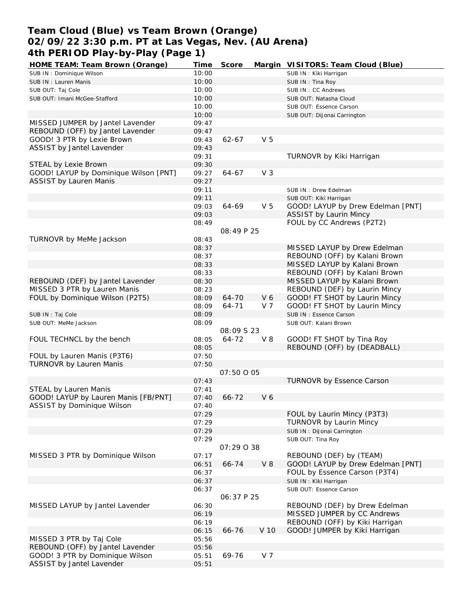# **Team Cloud (Blue) vs Team Brown (Orange) 02/09/22 3:30 p.m. PT at Las Vegas, Nev. (AU Arena) 4th PERIOD Play-by-Play (Page 1)**

| HOME TEAM: Team Brown (Orange)        | Time  | Score      |                | Margin VISITORS: Team Cloud (Blue) |
|---------------------------------------|-------|------------|----------------|------------------------------------|
| SUB IN: Dominique Wilson              | 10:00 |            |                | SUB IN: Kiki Harrigan              |
| SUB IN: Lauren Manis                  | 10:00 |            |                | SUB IN: Tina Roy                   |
| SUB OUT: Taj Cole                     | 10:00 |            |                | SUB IN: CC Andrews                 |
| SUB OUT: Imani McGee-Stafford         | 10:00 |            |                | SUB OUT: Natasha Cloud             |
|                                       | 10:00 |            |                | SUB OUT: Essence Carson            |
|                                       | 10:00 |            |                | SUB OUT: DiJonai Carrington        |
| MISSED JUMPER by Jantel Lavender      | 09:47 |            |                |                                    |
| REBOUND (OFF) by Jantel Lavender      | 09:47 |            |                |                                    |
|                                       |       |            | V <sub>5</sub> |                                    |
| GOOD! 3 PTR by Lexie Brown            | 09:43 | 62-67      |                |                                    |
| ASSIST by Jantel Lavender             | 09:43 |            |                |                                    |
|                                       | 09:31 |            |                | TURNOVR by Kiki Harrigan           |
| STEAL by Lexie Brown                  | 09:30 |            |                |                                    |
| GOOD! LAYUP by Dominique Wilson [PNT] | 09:27 | 64-67      | V <sub>3</sub> |                                    |
| <b>ASSIST by Lauren Manis</b>         | 09:27 |            |                |                                    |
|                                       | 09:11 |            |                | SUB IN: Drew Edelman               |
|                                       | 09:11 |            |                | SUB OUT: Kiki Harrigan             |
|                                       | 09:03 | 64-69      | V <sub>5</sub> | GOOD! LAYUP by Drew Edelman [PNT]  |
|                                       | 09:03 |            |                | <b>ASSIST by Laurin Mincy</b>      |
|                                       | 08:49 |            |                | FOUL by CC Andrews (P2T2)          |
|                                       |       | 08:49 P 25 |                |                                    |
| TURNOVR by MeMe Jackson               | 08:43 |            |                |                                    |
|                                       | 08:37 |            |                | MISSED LAYUP by Drew Edelman       |
|                                       |       |            |                |                                    |
|                                       | 08:37 |            |                | REBOUND (OFF) by Kalani Brown      |
|                                       | 08:33 |            |                | MISSED LAYUP by Kalani Brown       |
|                                       | 08:33 |            |                | REBOUND (OFF) by Kalani Brown      |
| REBOUND (DEF) by Jantel Lavender      | 08:30 |            |                | MISSED LAYUP by Kalani Brown       |
| MISSED 3 PTR by Lauren Manis          | 08:23 |            |                | REBOUND (DEF) by Laurin Mincy      |
| FOUL by Dominique Wilson (P2T5)       | 08:09 | 64-70      | V6             | GOOD! FT SHOT by Laurin Mincy      |
|                                       | 08:09 | 64-71      | V 7            | GOOD! FT SHOT by Laurin Mincy      |
| SUB IN: Taj Cole                      | 08:09 |            |                | SUB IN: Essence Carson             |
| SUB OUT: MeMe Jackson                 | 08:09 |            |                | SUB OUT: Kalani Brown              |
|                                       |       | 08:09 S 23 |                |                                    |
| FOUL TECHNCL by the bench             | 08:05 | 64-72      | $V_8$          | GOOD! FT SHOT by Tina Roy          |
|                                       | 08:05 |            |                | REBOUND (OFF) by (DEADBALL)        |
| FOUL by Lauren Manis (P3T6)           | 07:50 |            |                |                                    |
| <b>TURNOVR by Lauren Manis</b>        | 07:50 |            |                |                                    |
|                                       |       | 07:50 0 05 |                |                                    |
|                                       | 07:43 |            |                | <b>TURNOVR by Essence Carson</b>   |
| STEAL by Lauren Manis                 | 07:41 |            |                |                                    |
|                                       |       |            |                |                                    |
| GOOD! LAYUP by Lauren Manis [FB/PNT]  | 07:40 | 66-72      | V <sub>6</sub> |                                    |
| ASSIST by Dominique Wilson            | 07:40 |            |                |                                    |
|                                       | 07:29 |            |                | FOUL by Laurin Mincy (P3T3)        |
|                                       | 07:29 |            |                | TURNOVR by Laurin Mincy            |
|                                       | 07:29 |            |                | SUB IN: DiJonai Carrington         |
|                                       | 07:29 |            |                | SUB OUT: Tina Roy                  |
|                                       |       | 07:29 0 38 |                |                                    |
| MISSED 3 PTR by Dominique Wilson      | 07:17 |            |                | REBOUND (DEF) by (TEAM)            |
|                                       | 06:51 | 66-74      | $V_8$          | GOOD! LAYUP by Drew Edelman [PNT]  |
|                                       | 06:37 |            |                | FOUL by Essence Carson (P3T4)      |
|                                       | 06:37 |            |                | SUB IN: Kiki Harrigan              |
|                                       | 06:37 |            |                | SUB OUT: Essence Carson            |
|                                       |       | 06:37 P 25 |                |                                    |
| MISSED LAYUP by Jantel Lavender       | 06:30 |            |                | REBOUND (DEF) by Drew Edelman      |
|                                       |       |            |                |                                    |
|                                       | 06:19 |            |                | MISSED JUMPER by CC Andrews        |
|                                       | 06:19 |            |                | REBOUND (OFF) by Kiki Harrigan     |
|                                       | 06:15 | 66-76      | V 10           | GOOD! JUMPER by Kiki Harrigan      |
| MISSED 3 PTR by Taj Cole              | 05:56 |            |                |                                    |
| REBOUND (OFF) by Jantel Lavender      | 05:56 |            |                |                                    |
| GOOD! 3 PTR by Dominique Wilson       | 05:51 | 69-76      | V 7            |                                    |
| ASSIST by Jantel Lavender             | 05:51 |            |                |                                    |
|                                       |       |            |                |                                    |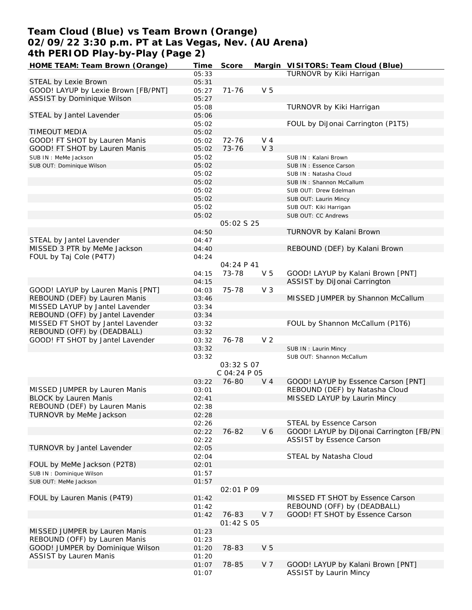# **Team Cloud (Blue) vs Team Brown (Orange) 02/09/22 3:30 p.m. PT at Las Vegas, Nev. (AU Arena) 4th PERIOD Play-by-Play (Page 2)**

| HOME TEAM: Team Brown (Orange)      | Time  | Score        |                | Margin VISITORS: Team Cloud (Blue)       |
|-------------------------------------|-------|--------------|----------------|------------------------------------------|
|                                     | 05:33 |              |                | TURNOVR by Kiki Harrigan                 |
| STEAL by Lexie Brown                | 05:31 |              |                |                                          |
| GOOD! LAYUP by Lexie Brown [FB/PNT] | 05:27 | $71 - 76$    | V <sub>5</sub> |                                          |
| ASSIST by Dominique Wilson          | 05:27 |              |                |                                          |
|                                     | 05:08 |              |                | TURNOVR by Kiki Harrigan                 |
|                                     |       |              |                |                                          |
| STEAL by Jantel Lavender            | 05:06 |              |                |                                          |
|                                     | 05:02 |              |                | FOUL by DiJonai Carrington (P1T5)        |
| TIMEOUT MEDIA                       | 05:02 |              |                |                                          |
| GOOD! FT SHOT by Lauren Manis       | 05:02 | $72 - 76$    | $V_4$          |                                          |
| GOOD! FT SHOT by Lauren Manis       | 05:02 | 73-76        | V <sub>3</sub> |                                          |
| SUB IN : MeMe Jackson               | 05:02 |              |                | SUB IN: Kalani Brown                     |
| SUB OUT: Dominique Wilson           | 05:02 |              |                | SUB IN: Essence Carson                   |
|                                     | 05:02 |              |                | SUB IN: Natasha Cloud                    |
|                                     | 05:02 |              |                | SUB IN: Shannon McCallum                 |
|                                     | 05:02 |              |                | SUB OUT: Drew Edelman                    |
|                                     | 05:02 |              |                |                                          |
|                                     |       |              |                | SUB OUT: Laurin Mincy                    |
|                                     | 05:02 |              |                | SUB OUT: Kiki Harrigan                   |
|                                     | 05:02 |              |                | SUB OUT: CC Andrews                      |
|                                     |       | 05:02 \$ 25  |                |                                          |
|                                     | 04:50 |              |                | TURNOVR by Kalani Brown                  |
| STEAL by Jantel Lavender            | 04:47 |              |                |                                          |
| MISSED 3 PTR by MeMe Jackson        | 04:40 |              |                | REBOUND (DEF) by Kalani Brown            |
| FOUL by Taj Cole (P4T7)             | 04:24 |              |                |                                          |
|                                     |       | 04:24 P 41   |                |                                          |
|                                     | 04:15 | 73-78        | V <sub>5</sub> | GOOD! LAYUP by Kalani Brown [PNT]        |
|                                     | 04:15 |              |                | ASSIST by DiJonai Carrington             |
|                                     |       |              |                |                                          |
| GOOD! LAYUP by Lauren Manis [PNT]   | 04:03 | 75-78        | V <sub>3</sub> |                                          |
| REBOUND (DEF) by Lauren Manis       | 03:46 |              |                | MISSED JUMPER by Shannon McCallum        |
| MISSED LAYUP by Jantel Lavender     | 03:34 |              |                |                                          |
| REBOUND (OFF) by Jantel Lavender    | 03:34 |              |                |                                          |
| MISSED FT SHOT by Jantel Lavender   | 03:32 |              |                | FOUL by Shannon McCallum (P1T6)          |
| REBOUND (OFF) by (DEADBALL)         | 03:32 |              |                |                                          |
| GOOD! FT SHOT by Jantel Lavender    | 03:32 | 76-78        | V <sub>2</sub> |                                          |
|                                     | 03:32 |              |                | SUB IN: Laurin Mincy                     |
|                                     | 03:32 |              |                | SUB OUT: Shannon McCallum                |
|                                     |       | 03:32 S 07   |                |                                          |
|                                     |       | C 04:24 P 05 |                |                                          |
|                                     | 03:22 | 76-80        | V <sub>4</sub> | GOOD! LAYUP by Essence Carson [PNT]      |
| MISSED JUMPER by Lauren Manis       | 03:01 |              |                | REBOUND (DEF) by Natasha Cloud           |
|                                     |       |              |                |                                          |
| <b>BLOCK by Lauren Manis</b>        | 02:41 |              |                | MISSED LAYUP by Laurin Mincy             |
| REBOUND (DEF) by Lauren Manis       | 02:38 |              |                |                                          |
| TURNOVR by MeMe Jackson             | 02:28 |              |                |                                          |
|                                     | 02:26 |              |                | STEAL by Essence Carson                  |
|                                     | 02:22 | 76-82        | V6             | GOOD! LAYUP by DiJonai Carrington [FB/PN |
|                                     | 02:22 |              |                | ASSIST by Essence Carson                 |
| TURNOVR by Jantel Lavender          | 02:05 |              |                |                                          |
|                                     | 02:04 |              |                | STEAL by Natasha Cloud                   |
| FOUL by MeMe Jackson (P2T8)         | 02:01 |              |                |                                          |
| SUB IN: Dominique Wilson            | 01:57 |              |                |                                          |
| SUB OUT: MeMe Jackson               | 01:57 |              |                |                                          |
|                                     |       | 02:01 P 09   |                |                                          |
|                                     |       |              |                |                                          |
| FOUL by Lauren Manis (P4T9)         | 01:42 |              |                | MISSED FT SHOT by Essence Carson         |
|                                     | 01:42 |              |                | REBOUND (OFF) by (DEADBALL)              |
|                                     | 01:42 | 76-83        | V <sub>7</sub> | GOOD! FT SHOT by Essence Carson          |
|                                     |       | 01:42 S 05   |                |                                          |
| MISSED JUMPER by Lauren Manis       | 01:23 |              |                |                                          |
| REBOUND (OFF) by Lauren Manis       | 01:23 |              |                |                                          |
| GOOD! JUMPER by Dominique Wilson    | 01:20 | 78-83        | V <sub>5</sub> |                                          |
| <b>ASSIST by Lauren Manis</b>       | 01:20 |              |                |                                          |
|                                     | 01:07 | 78-85        | V 7            | GOOD! LAYUP by Kalani Brown [PNT]        |
|                                     | 01:07 |              |                | ASSIST by Laurin Mincy                   |
|                                     |       |              |                |                                          |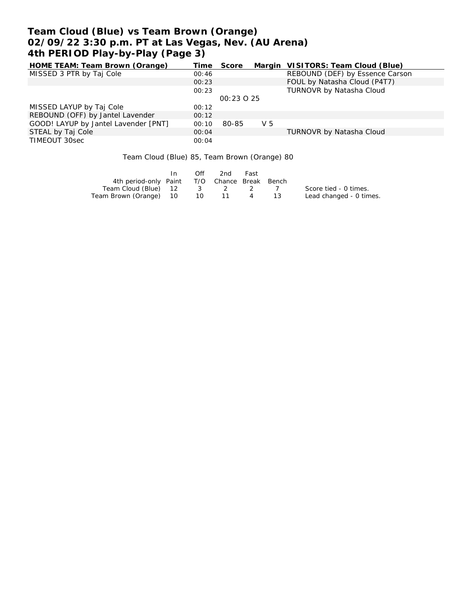# **Team Cloud (Blue) vs Team Brown (Orange) 02/09/22 3:30 p.m. PT at Las Vegas, Nev. (AU Arena) 4th PERIOD Play-by-Play (Page 3)**

| HOME TEAM: Team Brown (Orange)       | Time  | Score      |     | Margin VISITORS: Team Cloud (Blue) |
|--------------------------------------|-------|------------|-----|------------------------------------|
| MISSED 3 PTR by Taj Cole             | 00:46 |            |     | REBOUND (DEF) by Essence Carson    |
|                                      | 00:23 |            |     | FOUL by Natasha Cloud (P4T7)       |
|                                      | 00:23 |            |     | TURNOVR by Natasha Cloud           |
|                                      |       | 00:23 0 25 |     |                                    |
| MISSED LAYUP by Taj Cole             | 00:12 |            |     |                                    |
| REBOUND (OFF) by Jantel Lavender     | 00:12 |            |     |                                    |
| GOOD! LAYUP by Jantel Lavender [PNT] | 00:10 | 80-85      | V 5 |                                    |
| STEAL by Taj Cole                    | 00:04 |            |     | <b>TURNOVR by Natasha Cloud</b>    |
| TIMEOUT 30sec                        | 00:04 |            |     |                                    |

Team Cloud (Blue) 85, Team Brown (Orange) 80

|                                              | In | Off | 2nd     | Fast |        |                         |
|----------------------------------------------|----|-----|---------|------|--------|-------------------------|
| 4th period-only Paint T/O Chance Break Bench |    |     |         |      |        |                         |
| Team Cloud (Blue) 12                         |    |     | 3 2 2 7 |      |        | Score tied - 0 times.   |
| Team Brown (Orange) 10 10 11 4               |    |     |         |      | - 13 - | Lead changed - 0 times. |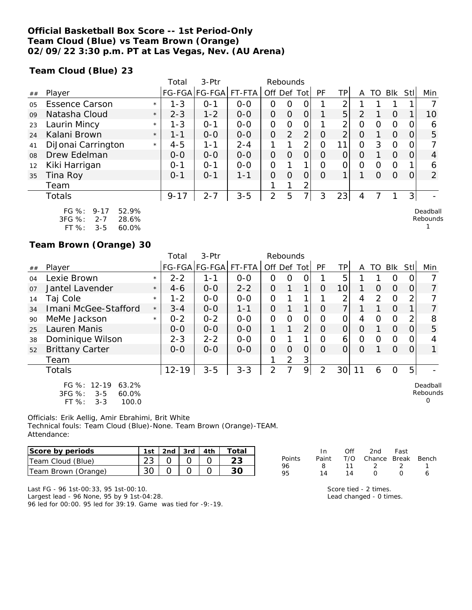### **Official Basketball Box Score -- 1st Period-Only Team Cloud (Blue) vs Team Brown (Orange) 02/09/22 3:30 p.m. PT at Las Vegas, Nev. (AU Arena)**

**Team Cloud (Blue) 23**

|                |                                                             |         | Total    | $3-$ Ptr              |         | Rebounds       |          |                |          |                |               |   |          |      |                      |
|----------------|-------------------------------------------------------------|---------|----------|-----------------------|---------|----------------|----------|----------------|----------|----------------|---------------|---|----------|------|----------------------|
| ##             | Player                                                      |         |          | FG-FGA FG-FGA  FT-FTA |         | Off Def Tot    |          |                | PF       | ΤP             | A             |   | TO BIK   | Stll | Min                  |
| 0 <sub>5</sub> | <b>Essence Carson</b>                                       | $\star$ | $1 - 3$  | $O - 1$               | $0 - 0$ | Ο              | 0        |                |          | ⌒              |               |   |          |      |                      |
| 09             | Natasha Cloud                                               | $\star$ | $2 - 3$  | $1 - 2$               | $0 - 0$ | O              | $\Omega$ | 0              |          | 5              | $\mathcal{P}$ |   | $\Omega$ |      | 10                   |
| 23             | Laurin Mincy                                                | $\star$ | $1 - 3$  | $O - 1$               | $0 - 0$ | O              | 0        |                |          | 2              | 0             | 0 | $\circ$  |      | 6                    |
| 24             | Kalani Brown                                                | $\star$ | $1 - 1$  | $0-0$                 | $0-0$   | 0              | 2        | $\overline{2}$ | 0        | $\overline{2}$ | $\Omega$      |   | $\Omega$ |      | 5                    |
| 41             | DiJonai Carrington                                          | $\star$ | $4 - 5$  | 1-1                   | $2 - 4$ |                |          | ∍              | O        | 11             | 0             | 3 | $\Omega$ |      |                      |
| 08             | Drew Edelman                                                |         | $0 - 0$  | $0 - 0$               | $0 - 0$ | O              | $\Omega$ | Ο              | O        | O              | 0             |   | $\Omega$ |      | 4                    |
| 12             | Kiki Harrigan                                               |         | $O - 1$  | $O - 1$               | $0 - 0$ | O              |          | 1              | Ω        | 0              | 0             | 0 | $\Omega$ |      | 6                    |
| 35             | Tina Roy                                                    |         | $0 - 1$  | $O - 1$               | 1-1     | $\Omega$       | $\Omega$ | 0              | $\Omega$ | 1              |               | O | $\Omega$ |      | 2                    |
|                | Team                                                        |         |          |                       |         |                | 1        | $\overline{2}$ |          |                |               |   |          |      |                      |
|                | Totals                                                      |         | $9 - 17$ | $2 - 7$               | $3 - 5$ | $\overline{2}$ | 5        | $\overline{7}$ | 3        | 23             | 4             |   |          | 3    |                      |
|                | FG $%$ :<br>52.9%<br>$9 - 17$<br>3FG %:<br>$2 - 7$<br>28.6% |         |          |                       |         |                |          |                |          |                |               |   |          |      | Deadball<br>Rebounds |

| $3FG \%$ : | $2 - 7$ | 28.6% |
|------------|---------|-------|
| $FT\%$ :   | $3 - 5$ | 60.0% |

### **Team Brown (Orange) 30**

|    |                                                                                           |         | Total     | 3-Ptr         |         | Rebounds       |                |                |                |                 |          |          |          |          |                           |
|----|-------------------------------------------------------------------------------------------|---------|-----------|---------------|---------|----------------|----------------|----------------|----------------|-----------------|----------|----------|----------|----------|---------------------------|
| ## | Player                                                                                    |         |           | FG-FGA FG-FGA | FT-FTA  | Off Def Tot    |                |                | PF             | TPI             | A        | TO       | Blk      | Stll     | Min                       |
| 04 | Lexie Brown                                                                               | $\star$ | $2 - 2$   | $1 - 1$       | $0 - 0$ | 0              | $\Omega$       | 0              |                | 5               |          |          | O        | $\Omega$ |                           |
| 07 | Jantel Lavender                                                                           | $\star$ | $4 - 6$   | $O-O$         | $2 - 2$ | $\overline{O}$ |                | 1              | O              | 10              |          | $\Omega$ | $\Omega$ | 0        | 7                         |
| 14 | Taj Cole                                                                                  | $\star$ | $1 - 2$   | $0 - 0$       | $0 - 0$ | O              |                |                |                | 2               | 4        | 2        | $\circ$  | 2        |                           |
| 34 | Imani McGee-Stafford                                                                      | $\star$ | $3 - 4$   | $0 - 0$       | $1 - 1$ | $\mathcal{O}$  |                |                | $\Omega$       | 7               |          |          | $\Omega$ | 1.       |                           |
| 90 | MeMe Jackson                                                                              | $\star$ | $0 - 2$   | $0 - 2$       | $0-0$   | $\overline{O}$ | $\Omega$       | $\overline{O}$ | $\Omega$       | O               | 4        | 0        | $\circ$  | 2        | 8                         |
| 25 | Lauren Manis                                                                              |         | $0 - 0$   | $0 - 0$       | $0 - 0$ | 1              |                | 2              | $\Omega$       | 0               | $\Omega$ |          | $\Omega$ | 0        | 5                         |
| 38 | Dominique Wilson                                                                          |         | $2 - 3$   | $2 - 2$       | $0 - 0$ | $\overline{O}$ |                | 1              | O              | $\overline{6}$  | 0        | $\Omega$ | $\Omega$ | 0        |                           |
| 52 | <b>Brittany Carter</b>                                                                    |         | $0 - 0$   | $0 - 0$       | $0-0$   | $\overline{O}$ | $\overline{O}$ | $\overline{O}$ | $\Omega$       | 0               | $\Omega$ |          | $\Omega$ | 0        | $\mathbf{1}$              |
|    | Team                                                                                      |         |           |               |         |                | 2              | 3              |                |                 |          |          |          |          |                           |
|    | <b>Totals</b>                                                                             |         | $12 - 19$ | $3 - 5$       | $3 - 3$ | $\overline{2}$ | 7              | 9              | $\overline{2}$ | 30 <sup>2</sup> | 11       | 6        | O        | 5        |                           |
|    | $12 - 19$<br>FG $%$ :<br>63.2%<br>3FG %:<br>$3 - 5$<br>60.0%<br>FT %:<br>$3 - 3$<br>100.0 |         |           |               |         |                |                |                |                |                 |          |          |          |          | Deadball<br>Rebounds<br>O |

Officials: Erik Aellig, Amir Ebrahimi, Brit White Technical fouls: Team Cloud (Blue)-None. Team Brown (Orange)-TEAM. Attendance:

| Score by periods    | 1st   2nd   3rd   4th |  | Total |
|---------------------|-----------------------|--|-------|
| Team Cloud (Blue)   |                       |  |       |
| Team Brown (Orange) |                       |  |       |

|        | In.   | Off | 2nd                    | Fast             |   |
|--------|-------|-----|------------------------|------------------|---|
| Points | Paint |     | T/O Chance Break Bench |                  |   |
| 96     | 8.    | 11  | $\mathcal{D}$          | - 2              |   |
| 95     | 14    | 14  | $\sqrt{ }$             | $\left( \right)$ | 6 |

Score tied - 2 times. Lead changed - 0 times. 1

Last FG - 96 1st-00:33, 95 1st-00:10. Largest lead - 96 None, 95 by 9 1st-04:28.

96 led for 00:00. 95 led for 39:19. Game was tied for -9:-19.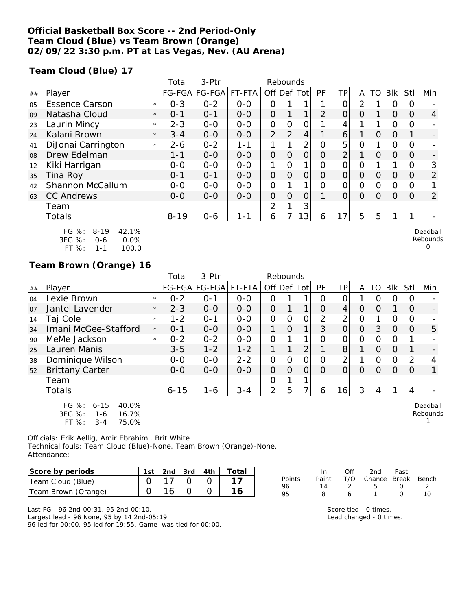### **Official Basketball Box Score -- 2nd Period-Only Team Cloud (Blue) vs Team Brown (Orange) 02/09/22 3:30 p.m. PT at Las Vegas, Nev. (AU Arena)**

**Team Cloud (Blue) 17**

|                |                                                                                      |         | Total    | $3-$ Ptr      |         | Rebounds       |                |                |          |                |                |          |            |      |                                  |
|----------------|--------------------------------------------------------------------------------------|---------|----------|---------------|---------|----------------|----------------|----------------|----------|----------------|----------------|----------|------------|------|----------------------------------|
| ##             | Player                                                                               |         |          | FG-FGA FG-FGA | FT-FTA  | Off Def Tot    |                |                | PF       | ΤP             | A              | TO       | <b>Blk</b> | Stll | Min                              |
| 0 <sub>5</sub> | <b>Essence Carson</b>                                                                | $\star$ | $0 - 3$  | $0 - 2$       | $0-0$   | Ω              |                | 1              |          | ი              | $\overline{2}$ |          | 0          |      |                                  |
| 09             | Natasha Cloud                                                                        | $\star$ | $0 - 1$  | $0 - 1$       | $0-0$   | $\mathcal{O}$  |                | 1              | 2        | $\overline{O}$ | $\Omega$       |          | $\Omega$   | 0    | $\overline{4}$                   |
| 23             | Laurin Mincy                                                                         | $\star$ | $2 - 3$  | $0-0$         | $0-0$   | O              | O              | 0              |          |                |                |          | 0          |      |                                  |
| 24             | Kalani Brown                                                                         | $\star$ | $3 - 4$  | $0 - 0$       | $0 - 0$ | $\overline{2}$ | 2              | 4              |          | $\overline{6}$ |                | 0        | $\Omega$   |      |                                  |
| 41             | DiJonai Carrington                                                                   | $\star$ | $2 - 6$  | $0 - 2$       | $1 - 1$ |                |                | 2              | O        | 5              | Ο              |          | 0          | O    |                                  |
| 08             | Drew Edelman                                                                         |         | $1 - 1$  | $0 - 0$       | $0-0$   | $\overline{O}$ | $\Omega$       | $\overline{O}$ | O        | $\overline{2}$ | 1              | $\Omega$ | $\Omega$   | O    |                                  |
| 12             | Kiki Harrigan                                                                        |         | $0-0$    | $0-0$         | $0-0$   |                | $\Omega$       | 1              | 0        | O              | Ο              |          |            |      | 3                                |
| 35             | Tina Roy                                                                             |         | $0 - 1$  | $O - 1$       | $0-0$   | $\overline{O}$ | $\overline{O}$ | $\overline{O}$ | 0        | $\overline{O}$ | $\Omega$       | 0        | $\Omega$   | Ω    | 2                                |
| 42             | Shannon McCallum                                                                     |         | $0-0$    | $0-0$         | $0-0$   | $\Omega$       |                | 1              | $\Omega$ | $\Omega$       | $\Omega$       | $\Omega$ | $\Omega$   | O    |                                  |
| 63             | <b>CC Andrews</b>                                                                    |         | $0 - 0$  | $0-0$         | $0-0$   | $\Omega$       | $\Omega$       | $\Omega$       |          | $\overline{O}$ | $\Omega$       | Ο        | $\Omega$   | 0    | 2                                |
|                | Team                                                                                 |         |          |               |         | $\overline{2}$ |                | 3              |          |                |                |          |            |      |                                  |
|                | <b>Totals</b>                                                                        |         | $8 - 19$ | $0 - 6$       | $1 - 1$ | 6              |                | 13             | 6        | 17             | 5              | 5        | 1          | 1    |                                  |
|                | FG %:<br>42.1%<br>$8 - 19$<br>3FG %:<br>0.0%<br>$0 - 6$<br>FT %:<br>100.0<br>$1 - 1$ |         |          |               |         |                |                |                |          |                |                |          |            |      | Deadball<br>Rebounds<br>$\Omega$ |

### **Team Brown (Orange) 16**

|                |                                                                                   |         | Total    | 3-Ptr                 |         | Rebounds    |          |                |                |                |          |          |          |          |                      |
|----------------|-----------------------------------------------------------------------------------|---------|----------|-----------------------|---------|-------------|----------|----------------|----------------|----------------|----------|----------|----------|----------|----------------------|
| ##             | Player                                                                            |         |          | FG-FGA FG-FGA  FT-FTA |         | Off Def Tot |          |                | PF             | ΤP             | A        |          | TO BIK   | Stll     | Min                  |
| 04             | Lexie Brown                                                                       | $\star$ | $0 - 2$  | $0 - 1$               | $0-0$   | Ω           |          | 1              | $\Omega$       | 0              |          | $\Omega$ | O        |          |                      |
| O <sub>7</sub> | Jantel Lavender                                                                   | $\star$ | $2 - 3$  | $0 - 0$               | $0 - 0$ | $\Omega$    |          | 1.             | O              | 4              | O        | $\Omega$ |          | $\Omega$ |                      |
| 14             | Taj Cole                                                                          | $\star$ | $1 - 2$  | $O - 1$               | $0-0$   | O           | $\Omega$ | 0              | $\overline{2}$ | $\overline{2}$ | $\Omega$ |          | $\Omega$ |          |                      |
| 34             | Imani McGee-Stafford                                                              | $\star$ | $0 - 1$  | $0 - 0$               | $0 - 0$ | 1.          | $\Omega$ | 1              | 3              | $\overline{O}$ | O        | 3        | $\Omega$ |          | 5                    |
| 90             | MeMe Jackson                                                                      | $\star$ | $0 - 2$  | $0 - 2$               | $0-0$   | O           |          | 1.             | Ω              | 0              | 0        | $\Omega$ | $\Omega$ |          |                      |
| 25             | Lauren Manis                                                                      |         | $3 - 5$  | $1 - 2$               | $1 - 2$ | 1           | 1        | $\overline{2}$ |                | 8              |          | $\Omega$ | $\Omega$ |          |                      |
| 38             | Dominique Wilson                                                                  |         | $O-O$    | $0 - 0$               | $2 - 2$ | O           | $\Omega$ | 0              | $\Omega$       | $\overline{2}$ |          | $\Omega$ | $\Omega$ | 2        | 4                    |
| 52             | <b>Brittany Carter</b>                                                            |         | $0 - 0$  | $0 - 0$               | $0 - 0$ | 0           | $\Omega$ | 0              | 0              | $\Omega$       | O        | $\Omega$ | $\Omega$ |          |                      |
|                | Team                                                                              |         |          |                       |         | 0           | 1        | 1              |                |                |          |          |          |          |                      |
|                | Totals                                                                            |         | $6 - 15$ | $1 - 6$               | $3 - 4$ | 2           | 5        | $\overline{7}$ | 6              | 16             | 3        | 4        |          | 4        |                      |
|                | FG %:<br>$6 - 15$<br>40.0%<br>3FG %:<br>16.7%<br>1-6<br>FT %:<br>75.0%<br>$3 - 4$ |         |          |                       |         |             |          |                |                |                |          |          |          |          | Deadball<br>Rebounds |

Officials: Erik Aellig, Amir Ebrahimi, Brit White

Technical fouls: Team Cloud (Blue)-None. Team Brown (Orange)-None. Attendance:

| Score by periods    | 1st   2nd   3rd   4th |  | Total |
|---------------------|-----------------------|--|-------|
| Team Cloud (Blue)   |                       |  |       |
| Team Brown (Orange) |                       |  |       |

| T/O Chance Break Bench |
|------------------------|
|                        |
| 1 $\cap$               |
|                        |

Last FG - 96 2nd-00:31, 95 2nd-00:10. Largest lead - 96 None, 95 by 14 2nd-05:19.

96 led for 00:00. 95 led for 19:55. Game was tied for 00:00.

Score tied - 0 times. Lead changed - 0 times.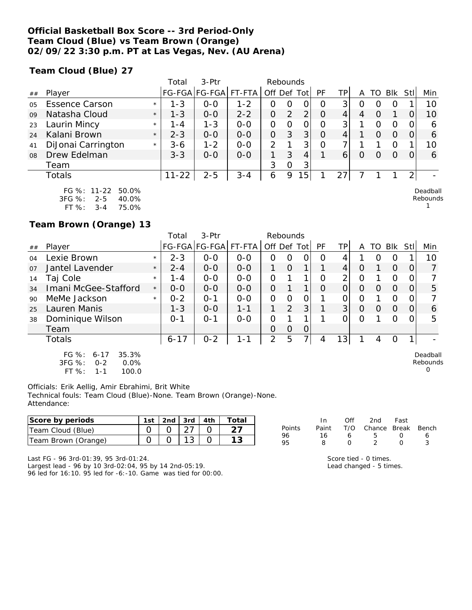### **Official Basketball Box Score -- 3rd Period-Only Team Cloud (Blue) vs Team Brown (Orange) 02/09/22 3:30 p.m. PT at Las Vegas, Nev. (AU Arena)**

**Team Cloud (Blue) 27**

|                |                                                                                 |         | Total     | $3-Ptr$       |         | Rebounds       |          |   |          |     |          |    |          |      |                               |
|----------------|---------------------------------------------------------------------------------|---------|-----------|---------------|---------|----------------|----------|---|----------|-----|----------|----|----------|------|-------------------------------|
| ##             | Player                                                                          |         |           | FG-FGA FG-FGA | FT-FTA  | Off Def Tot    |          |   | PF       | TPI | A        | TO | Blk      | Stll | Min                           |
| 0 <sub>5</sub> | <b>Essence Carson</b>                                                           | $\star$ | $1 - 3$   | $O-O$         | $1 - 2$ | O              | O        |   | 0        | 3   |          |    | $\Omega$ |      | 10                            |
| 09             | Natasha Cloud                                                                   | $\star$ | $1 - 3$   | $0 - 0$       | $2 - 2$ | Ο              | 2        | 2 | $\Omega$ | 4   | 4        |    |          |      | 10                            |
| 23             | Laurin Mincy                                                                    | $\star$ | 1 - 4     | $1 - 3$       | $0 - 0$ | Ο              |          |   | $\Omega$ | 3   |          |    |          |      | 6                             |
| 24             | Kalani Brown                                                                    | $\star$ | $2 - 3$   | $0 - 0$       | $0 - 0$ | $\overline{O}$ | 3        | 3 | $\Omega$ | 4   |          |    | $\Omega$ |      | 6                             |
| 41             | DiJonai Carrington                                                              | $\star$ | $3 - 6$   | $1 - 2$       | $0 - 0$ | 2              |          | 3 | Ω        |     |          |    | Ω        |      | 10                            |
| 08             | Drew Edelman                                                                    |         | $3 - 3$   | $0 - 0$       | $0 - 0$ |                | 3        | 4 |          | 6   | $\Omega$ |    | $\Omega$ |      | 6                             |
|                | Team                                                                            |         |           |               |         | 3              | $\Omega$ | 3 |          |     |          |    |          |      |                               |
|                | Totals                                                                          |         | $11 - 22$ | $2 - 5$       | $3 - 4$ | 6              | 9        | 5 |          | 27  |          |    |          | っ    |                               |
|                | FG %: 11-22 50.0%<br>$\sim$ $\sim$ $\sim$<br>$\sim$ $\sim$ $\sim$<br>$\sim$ $-$ |         |           |               |         |                |          |   |          |     |          |    |          |      | Deadball<br>والمستندم والمتال |

Rebounds 1

0

3FG %: 2-5 40.0% FT %: 3-4 75.0%

**Team Brown (Orange) 13**

|    |                                                                             |         | Total    | $3-Ptr$              |         | Rebounds    |                |   |    |     |   |    |            |          |                      |
|----|-----------------------------------------------------------------------------|---------|----------|----------------------|---------|-------------|----------------|---|----|-----|---|----|------------|----------|----------------------|
| ## | Player                                                                      |         |          | FG-FGA FG-FGA FT-FTA |         | Off Def Tot |                |   | PF | TP. | А | TO | <b>BIK</b> | Stl      | Min                  |
| 04 | Lexie Brown                                                                 | $\star$ | $2 - 3$  | $0 - 0$              | $0 - 0$ | 0           | Ω              | ი | Ω  | 4   |   | Ω  | 0          |          | 10                   |
| 07 | Jantel Lavender                                                             | $\star$ | $2 - 4$  | $0 - 0$              | $0 - 0$ | 1.          | Ο              | 1 |    | 4   | Ο |    | $\Omega$   | 0        |                      |
| 14 | Taj Cole                                                                    | $\star$ | $1 - 4$  | $0 - 0$              | $0 - 0$ | O           |                |   | Ω  | 2   | Ο |    | O          |          |                      |
| 34 | Imani McGee-Stafford                                                        | $\star$ | $0 - 0$  | $0 - 0$              | $0 - 0$ | O           |                | ◀ | 0  |     | 0 | O  | $\Omega$   | Ω        | 5                    |
| 90 | MeMe Jackson                                                                | $\star$ | $0 - 2$  | $O - 1$              | $O - O$ | 0           | Ω              | Ο |    |     | 0 |    | O          |          |                      |
| 25 | Lauren Manis                                                                |         | $1 - 3$  | $0 - 0$              | $1 - 1$ |             | $\overline{2}$ | 3 |    | 3   | 0 | O  | $\Omega$   | $\Omega$ | 6                    |
| 38 | Dominique Wilson                                                            |         | $0 - 1$  | $O - 1$              | $0 - 0$ | 0           |                | ◀ |    |     | 0 |    | Ο          |          | 5                    |
|    | Team                                                                        |         |          |                      |         | 0           | Ο              | 0 |    |     |   |    |            |          |                      |
|    | Totals                                                                      |         | $6 - 17$ | $0 - 2$              | $1 - 1$ | 2           | 5              | 7 | 4  | 13  |   | 4  | Ο          |          |                      |
|    | FG $%$ :<br>35.3%<br>$6 - 17$<br>$3FC.$ %<br>$0 - 2$<br>$\Omega$ $\Omega\%$ |         |          |                      |         |             |                |   |    |     |   |    |            |          | Deadball<br>Rebounds |

3FG %: 0-2 0.0% FT %: 1-1 100.0

Officials: Erik Aellig, Amir Ebrahimi, Brit White Technical fouls: Team Cloud (Blue)-None. Team Brown (Orange)-None. Attendance:

| Score by periods    | l st | 2nd | 3rd           | 4th | Total |          |       | Of  | 2nd    | Fast         |       |
|---------------------|------|-----|---------------|-----|-------|----------|-------|-----|--------|--------------|-------|
| Team Cloud (Blue)   |      |     | $\sim$ $\sim$ |     |       | Points   | Paint | T/C | Chance | <b>Break</b> | Bench |
| Team Brown (Orange) |      |     |               |     |       | 96<br>95 |       |     |        |              |       |

Last FG - 96 3rd-01:39, 95 3rd-01:24. Largest lead - 96 by 10 3rd-02:04, 95 by 14 2nd-05:19. 96 led for 16:10. 95 led for -6:-10. Game was tied for 00:00. Score tied - 0 times. Lead changed - 5 times.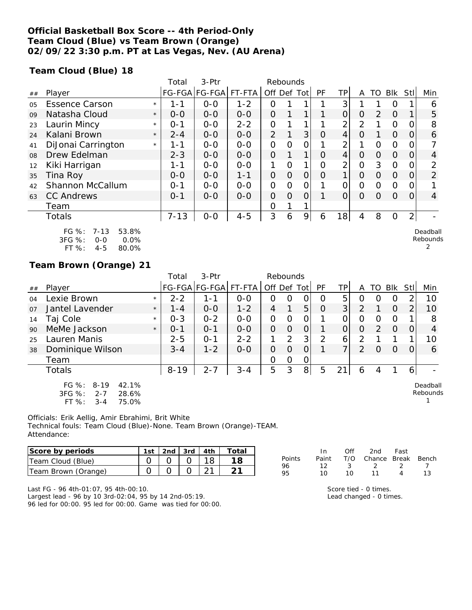### **Official Basketball Box Score -- 4th Period-Only Team Cloud (Blue) vs Team Brown (Orange) 02/09/22 3:30 p.m. PT at Las Vegas, Nev. (AU Arena)**

**Team Cloud (Blue) 18**

|    |                                                                                      |         | Total    | $3-$ Ptr              |         | Rebounds       |                |                |          |                |                |                |          |                |                           |
|----|--------------------------------------------------------------------------------------|---------|----------|-----------------------|---------|----------------|----------------|----------------|----------|----------------|----------------|----------------|----------|----------------|---------------------------|
| ## | Player                                                                               |         |          | FG-FGA FG-FGA  FT-FTA |         | Off Def Tot    |                |                | PF       | ΤP             | A              | TO             | Blk      | Stl            | Min                       |
| 05 | <b>Essence Carson</b>                                                                | $\star$ | $1 - 1$  | $0-0$                 | $1 - 2$ | 0              |                | 1              |          | 3              |                |                | O        |                | 6                         |
| 09 | Natasha Cloud                                                                        | $\star$ | $0 - 0$  | $0-0$                 | $0-0$   | $\overline{O}$ |                |                |          | 0              | $\Omega$       | $\overline{2}$ | $\Omega$ |                | 5                         |
| 23 | Laurin Mincy                                                                         | $\star$ | $0 - 1$  | $0 - 0$               | $2 - 2$ | O              |                |                |          | 2              | $\overline{2}$ |                | $\Omega$ |                | 8                         |
| 24 | Kalani Brown                                                                         | $\star$ | $2 - 4$  | $0-0$                 | $0-0$   | $\overline{2}$ |                | 3              | $\Omega$ | $\overline{4}$ | $\Omega$       |                | $\Omega$ | 0              | 6                         |
| 41 | DiJonai Carrington                                                                   | $\star$ | 1-1      | $0-0$                 | $0-0$   | O              | O              | 0              |          | 2              |                | 0              | $\Omega$ |                |                           |
| 08 | Drew Edelman                                                                         |         | $2 - 3$  | $O-O$                 | $0-0$   | $\overline{O}$ |                | $\mathbf 1$    | $\Omega$ | $\overline{4}$ | $\Omega$       | $\Omega$       | $\Omega$ | $\Omega$       | $\overline{4}$            |
| 12 | Kiki Harrigan                                                                        |         | $1 - 1$  | $O-O$                 | $O-O$   | 1              | $\overline{O}$ | 1 <sub>1</sub> | O        | $\overline{2}$ | $\overline{O}$ | 3              | $\Omega$ | O              | 2                         |
| 35 | Tina Roy                                                                             |         | $0 - 0$  | $0-0$                 | $1 - 1$ | $\overline{O}$ | $\Omega$       | $\overline{O}$ | O        | 1              | 0              | $\Omega$       | $\Omega$ | O              | $\overline{2}$            |
| 42 | Shannon McCallum                                                                     |         | $O - 1$  | $0 - 0$               | $0 - 0$ | 0              | O              | 0              |          | 0              | 0              | $\Omega$       | $\Omega$ | $\left($       |                           |
| 63 | <b>CC Andrews</b>                                                                    |         | $0 - 1$  | $0 - 0$               | $0 - 0$ | O              | O              | 0              |          | 0              | $\Omega$       | $\Omega$       | $\Omega$ | $\Omega$       | 4                         |
|    | Team                                                                                 |         |          |                       |         | Ο              |                |                |          |                |                |                |          |                |                           |
|    | <b>Totals</b>                                                                        |         | $7 - 13$ | $O-O$                 | $4 - 5$ | 3              | 6              | 9 <sub>l</sub> | 6        | 18             | 4              | 8              | $\Omega$ | $\overline{2}$ |                           |
|    | FG %:<br>$7 - 13$<br>53.8%<br>3FG %:<br>0.0%<br>$0 - 0$<br>FT %:<br>$4 - 5$<br>80.0% |         |          |                       |         |                |                |                |          |                |                |                |          |                | Deadball<br>Rebounds<br>2 |

### **Team Brown (Orange) 21**

|                |                                                                                             |         | Total    | 3-Ptr         |         | Rebounds       |                |                |          |                |               |               |                |                |                      |
|----------------|---------------------------------------------------------------------------------------------|---------|----------|---------------|---------|----------------|----------------|----------------|----------|----------------|---------------|---------------|----------------|----------------|----------------------|
| ##             | Player                                                                                      |         |          | FG-FGA FG-FGA | FT-FTA  | Off Def Tot    |                |                | PF       | TPI            | A             | TO.           | Blk            | Stll           | Min                  |
| 04             | Lexie Brown                                                                                 | $\star$ | $2 - 2$  | 1 - 1         | $0 - 0$ | 0              | 0              | 0              | O        | 5              | O             | $\left($      | O              |                | 10                   |
| O <sub>7</sub> | Jantel Lavender                                                                             | $\star$ | $1 - 4$  | $0 - 0$       | $1 - 2$ | 4              | 1              | 5              | $\Omega$ | 3 <sup>1</sup> | $\mathcal{P}$ |               | $\Omega$       | $\overline{2}$ | 10                   |
| 14             | Taj Cole                                                                                    | $\star$ | $0 - 3$  | $0 - 2$       | $0 - 0$ | $\Omega$       | O              | O              |          | Ω              | O             | Ω             | $\overline{O}$ |                | 8                    |
| 90             | MeMe Jackson                                                                                | $\star$ | $O - 1$  | $O - 1$       | $0 - 0$ | $\Omega$       | $\Omega$       | $\overline{O}$ |          | $\Omega$       | $\Omega$      | $\mathcal{D}$ | $\Omega$       | $\Omega$       | 4                    |
| 25             | Lauren Manis                                                                                |         | $2 - 5$  | $O - 1$       | $2 - 2$ |                | 2              | 3 <sup>1</sup> | 2        | 6              | 2             |               |                |                | 10                   |
| 38             | Dominique Wilson                                                                            |         | $3 - 4$  | $1 - 2$       | $0 - 0$ | $\overline{O}$ | 0              | $\overline{O}$ |          | 7 <sub>1</sub> | 2             | O             | $\Omega$       | $\Omega$       | 6                    |
|                | Team                                                                                        |         |          |               |         | O              | $\overline{O}$ | 0              |          |                |               |               |                |                |                      |
|                | Totals                                                                                      |         | $8 - 19$ | $2 - 7$       | $3 - 4$ | 5              | 3              | 8              | 5        | 21             | 6             | 4             |                | $6 \mid$       |                      |
|                | $FG \%$ :<br>$8 - 19$<br>42.1%<br>3FG %:<br>28.6%<br>$2 - 7$<br>$FT$ %:<br>75.0%<br>$3 - 4$ |         |          |               |         |                |                |                |          |                |               |               |                |                | Deadball<br>Rebounds |

Officials: Erik Aellig, Amir Ebrahimi, Brit White Technical fouls: Team Cloud (Blue)-None. Team Brown (Orange)-TEAM. Attendance:

| Score by periods    |  | 1st   2nd   3rd   4th | Total |
|---------------------|--|-----------------------|-------|
| Team Cloud (Blue)   |  |                       |       |
| Team Brown (Orange) |  |                       |       |

|        | In. | Off | 2nd Fast                     |                |    |
|--------|-----|-----|------------------------------|----------------|----|
| Points |     |     | Paint T/O Chance Break Bench |                |    |
| 96     | 12  | -3. | $\sim$ 2                     | $\overline{2}$ |    |
| 95     | 10  | 1 N | - 11                         | Δ              | 13 |
|        |     |     |                              |                |    |

Last FG - 96 4th-01:07, 95 4th-00:10. Largest lead - 96 by 10 3rd-02:04, 95 by 14 2nd-05:19. 96 led for 00:00. 95 led for 00:00. Game was tied for 00:00. Score tied - 0 times. Lead changed - 0 times.